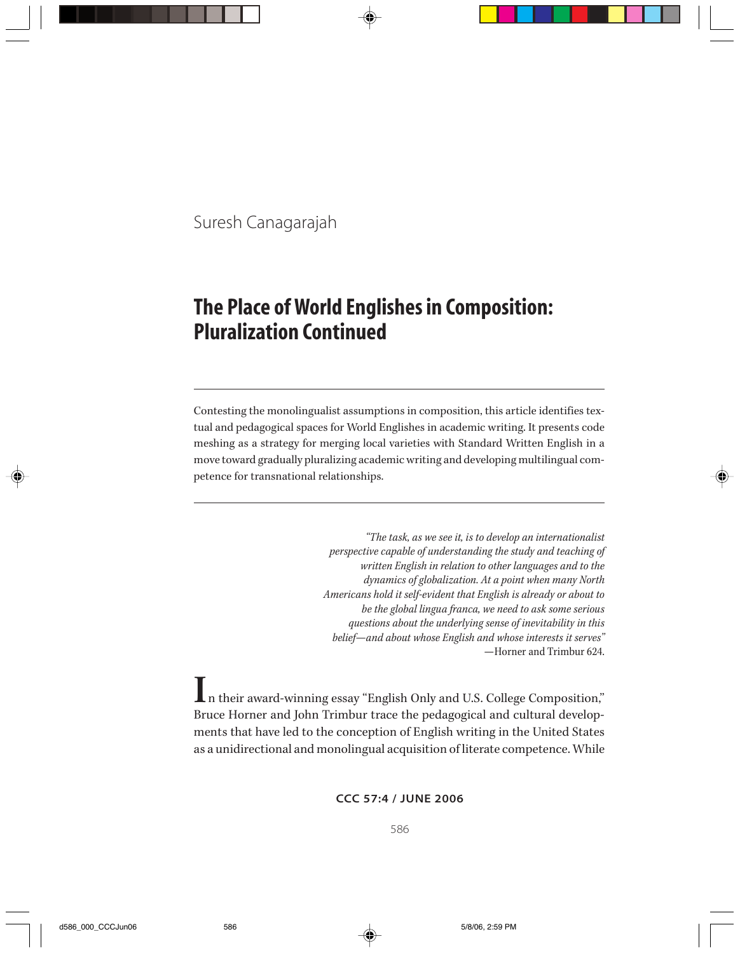Suresh Canagarajah

# **The Place of World Englishes in Composition: Pluralization Continued**

Contesting the monolingualist assumptions in composition, this article identifies textual and pedagogical spaces for World Englishes in academic writing. It presents code meshing as a strategy for merging local varieties with Standard Written English in a move toward gradually pluralizing academic writing and developing multilingual competence for transnational relationships.

> *"The task, as we see it, is to develop an internationalist perspective capable of understanding the study and teaching of written English in relation to other languages and to the dynamics of globalization. At a point when many North Americans hold it self-evident that English is already or about to be the global lingua franca, we need to ask some serious questions about the underlying sense of inevitability in this belief—and about whose English and whose interests it serves"* —Horner and Trimbur 624.

In their award-winning essay "English Only and U.S. College Composition," Bruce Horner and John Trimbur trace the pedagogical and cultural developments that have led to the conception of English writing in the United States as a unidirectional and monolingual acquisition of literate competence. While

**CCC 57:4 / JUNE 2006**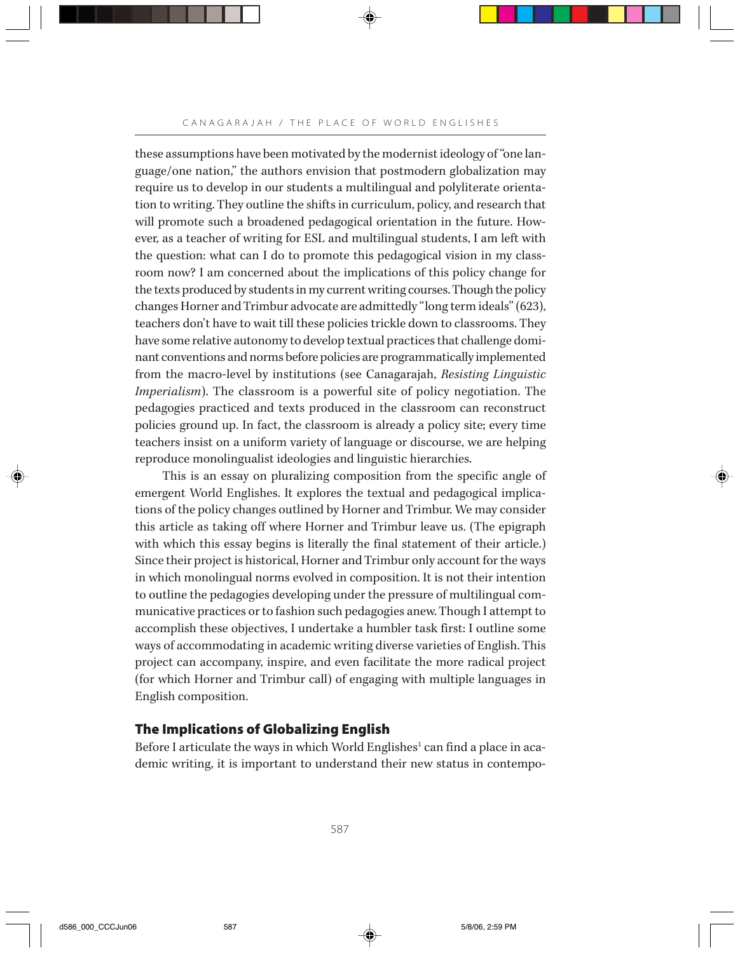these assumptions have been motivated by the modernist ideology of "one language/one nation," the authors envision that postmodern globalization may require us to develop in our students a multilingual and polyliterate orientation to writing. They outline the shifts in curriculum, policy, and research that will promote such a broadened pedagogical orientation in the future. However, as a teacher of writing for ESL and multilingual students, I am left with the question: what can I do to promote this pedagogical vision in my classroom now? I am concerned about the implications of this policy change for the texts produced by students in my current writing courses. Though the policy changes Horner and Trimbur advocate are admittedly "long term ideals" (623), teachers don't have to wait till these policies trickle down to classrooms. They have some relative autonomy to develop textual practices that challenge dominant conventions and norms before policies are programmatically implemented from the macro-level by institutions (see Canagarajah, *Resisting Linguistic Imperialism*). The classroom is a powerful site of policy negotiation. The pedagogies practiced and texts produced in the classroom can reconstruct policies ground up. In fact, the classroom is already a policy site; every time teachers insist on a uniform variety of language or discourse, we are helping reproduce monolingualist ideologies and linguistic hierarchies.

This is an essay on pluralizing composition from the specific angle of emergent World Englishes. It explores the textual and pedagogical implications of the policy changes outlined by Horner and Trimbur. We may consider this article as taking off where Horner and Trimbur leave us. (The epigraph with which this essay begins is literally the final statement of their article.) Since their project is historical, Horner and Trimbur only account for the ways in which monolingual norms evolved in composition. It is not their intention to outline the pedagogies developing under the pressure of multilingual communicative practices or to fashion such pedagogies anew. Though I attempt to accomplish these objectives, I undertake a humbler task first: I outline some ways of accommodating in academic writing diverse varieties of English. This project can accompany, inspire, and even facilitate the more radical project (for which Horner and Trimbur call) of engaging with multiple languages in English composition.

# **The Implications of Globalizing English**

Before I articulate the ways in which World Englishes<sup>1</sup> can find a place in academic writing, it is important to understand their new status in contempo-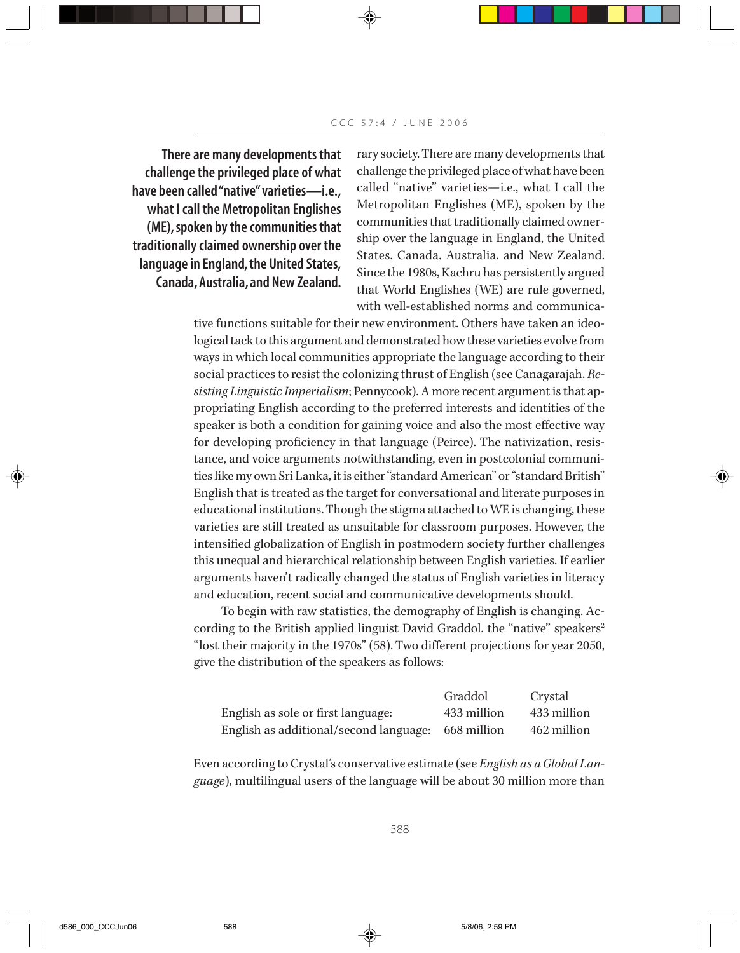**There are many developments that challenge the privileged place of what have been called "native" varieties—i.e., what I call the Metropolitan Englishes (ME), spoken by the communities that traditionally claimed ownership over the language in England, the United States, Canada, Australia, and New Zealand.** rary society. There are many developments that challenge the privileged place of what have been called "native" varieties—i.e., what I call the Metropolitan Englishes (ME), spoken by the communities that traditionally claimed ownership over the language in England, the United States, Canada, Australia, and New Zealand. Since the 1980s, Kachru has persistently argued that World Englishes (WE) are rule governed, with well-established norms and communica-

tive functions suitable for their new environment. Others have taken an ideological tack to this argument and demonstrated how these varieties evolve from ways in which local communities appropriate the language according to their social practices to resist the colonizing thrust of English (see Canagarajah, *Resisting Linguistic Imperialism*; Pennycook). A more recent argument is that appropriating English according to the preferred interests and identities of the speaker is both a condition for gaining voice and also the most effective way for developing proficiency in that language (Peirce). The nativization, resistance, and voice arguments notwithstanding, even in postcolonial communities like my own Sri Lanka, it is either "standard American" or "standard British" English that is treated as the target for conversational and literate purposes in educational institutions. Though the stigma attached to WE is changing, these varieties are still treated as unsuitable for classroom purposes. However, the intensified globalization of English in postmodern society further challenges this unequal and hierarchical relationship between English varieties. If earlier arguments haven't radically changed the status of English varieties in literacy and education, recent social and communicative developments should.

To begin with raw statistics, the demography of English is changing. According to the British applied linguist David Graddol, the "native" speakers<sup>2</sup> "lost their majority in the 1970s" (58). Two different projections for year 2050, give the distribution of the speakers as follows:

|                                        | Graddol     | Crystal     |
|----------------------------------------|-------------|-------------|
| English as sole or first language:     | 433 million | 433 million |
| English as additional/second language: | 668 million | 462 million |

Even according to Crystal's conservative estimate (see *English as a Global Language*), multilingual users of the language will be about 30 million more than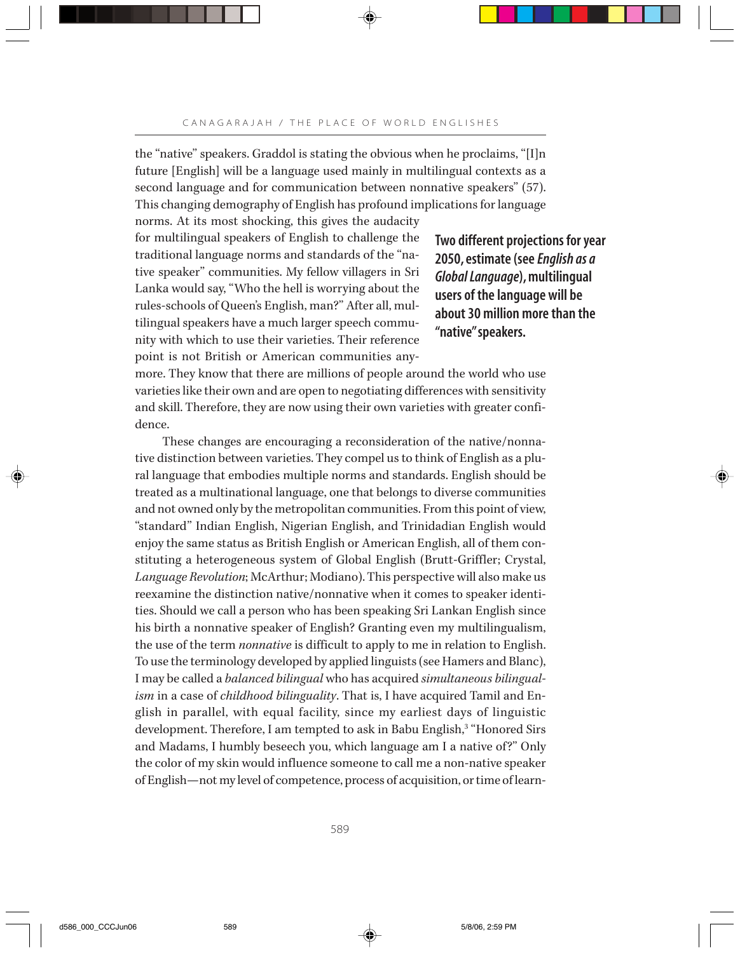the "native" speakers. Graddol is stating the obvious when he proclaims, "[I]n future [English] will be a language used mainly in multilingual contexts as a second language and for communication between nonnative speakers" (57). This changing demography of English has profound implications for language

norms. At its most shocking, this gives the audacity for multilingual speakers of English to challenge the traditional language norms and standards of the "native speaker" communities. My fellow villagers in Sri Lanka would say, "Who the hell is worrying about the rules-schools of Queen's English, man?" After all, multilingual speakers have a much larger speech community with which to use their varieties. Their reference point is not British or American communities any-

**Two different projections for year 2050, estimate (see** *English as a Global Language***), multilingual users of the language will be about 30 million more than the "native" speakers.**

more. They know that there are millions of people around the world who use varieties like their own and are open to negotiating differences with sensitivity and skill. Therefore, they are now using their own varieties with greater confidence.

These changes are encouraging a reconsideration of the native/nonnative distinction between varieties. They compel us to think of English as a plural language that embodies multiple norms and standards. English should be treated as a multinational language, one that belongs to diverse communities and not owned only by the metropolitan communities. From this point of view, "standard" Indian English, Nigerian English, and Trinidadian English would enjoy the same status as British English or American English, all of them constituting a heterogeneous system of Global English (Brutt-Griffler; Crystal, *Language Revolution*; McArthur; Modiano). This perspective will also make us reexamine the distinction native/nonnative when it comes to speaker identities. Should we call a person who has been speaking Sri Lankan English since his birth a nonnative speaker of English? Granting even my multilingualism, the use of the term *nonnative* is difficult to apply to me in relation to English. To use the terminology developed by applied linguists (see Hamers and Blanc), I may be called a *balanced bilingual* who has acquired *simultaneous bilingualism* in a case of *childhood bilinguality*. That is, I have acquired Tamil and English in parallel, with equal facility, since my earliest days of linguistic development. Therefore, I am tempted to ask in Babu English,<sup>3</sup> "Honored Sirs and Madams, I humbly beseech you, which language am I a native of?" Only the color of my skin would influence someone to call me a non-native speaker of English—not my level of competence, process of acquisition, or time of learn-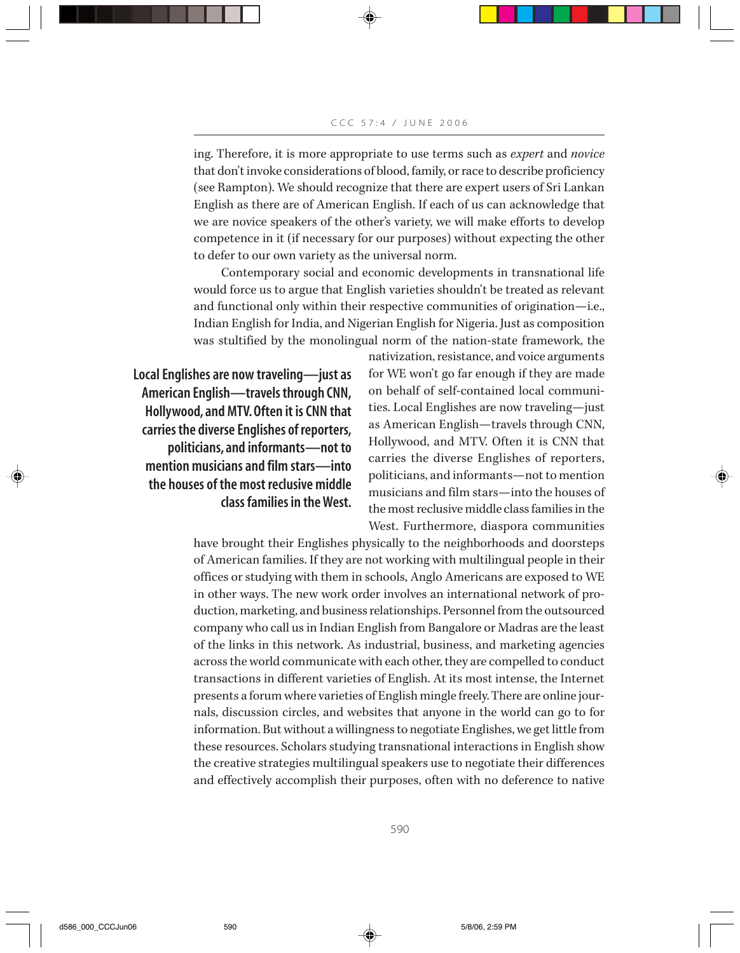ing. Therefore, it is more appropriate to use terms such as *expert* and *novice* that don't invoke considerations of blood, family, or race to describe proficiency (see Rampton). We should recognize that there are expert users of Sri Lankan English as there are of American English. If each of us can acknowledge that we are novice speakers of the other's variety, we will make efforts to develop competence in it (if necessary for our purposes) without expecting the other to defer to our own variety as the universal norm.

Contemporary social and economic developments in transnational life would force us to argue that English varieties shouldn't be treated as relevant and functional only within their respective communities of origination—i.e., Indian English for India, and Nigerian English for Nigeria. Just as composition was stultified by the monolingual norm of the nation-state framework, the

**Local Englishes are now traveling—just as American English—travels through CNN, Hollywood, and MTV. Often it is CNN that carries the diverse Englishes of reporters, politicians, and informants—not to mention musicians and film stars—into the houses of the most reclusive middle class families in the West.** nativization, resistance, and voice arguments for WE won't go far enough if they are made on behalf of self-contained local communities. Local Englishes are now traveling—just as American English—travels through CNN, Hollywood, and MTV. Often it is CNN that carries the diverse Englishes of reporters, politicians, and informants—not to mention musicians and film stars—into the houses of the most reclusive middle class families in the West. Furthermore, diaspora communities

have brought their Englishes physically to the neighborhoods and doorsteps of American families. If they are not working with multilingual people in their offices or studying with them in schools, Anglo Americans are exposed to WE in other ways. The new work order involves an international network of production, marketing, and business relationships. Personnel from the outsourced company who call us in Indian English from Bangalore or Madras are the least of the links in this network. As industrial, business, and marketing agencies across the world communicate with each other, they are compelled to conduct transactions in different varieties of English. At its most intense, the Internet presents a forum where varieties of English mingle freely. There are online journals, discussion circles, and websites that anyone in the world can go to for information. But without a willingness to negotiate Englishes, we get little from these resources. Scholars studying transnational interactions in English show the creative strategies multilingual speakers use to negotiate their differences and effectively accomplish their purposes, often with no deference to native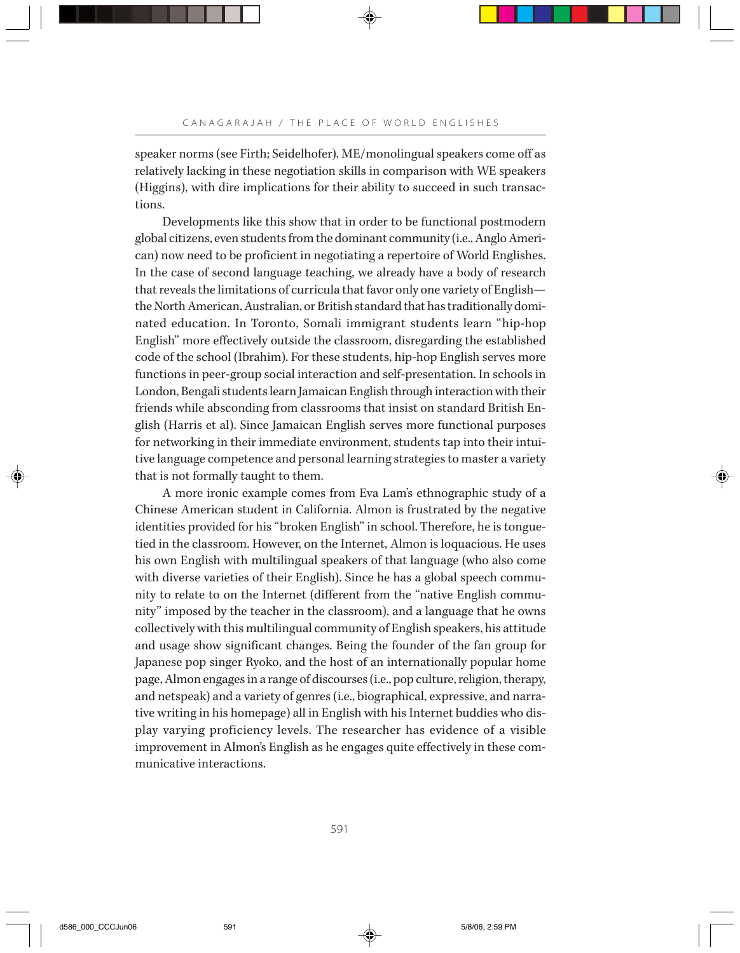speaker norms (see Firth; Seidelhofer). ME/monolingual speakers come off as relatively lacking in these negotiation skills in comparison with WE speakers (Higgins), with dire implications for their ability to succeed in such transactions.

Developments like this show that in order to be functional postmodern global citizens, even students from the dominant community (i.e., Anglo American) now need to be proficient in negotiating a repertoire of World Englishes. In the case of second language teaching, we already have a body of research that reveals the limitations of curricula that favor only one variety of English the North American, Australian, or British standard that has traditionally dominated education. In Toronto, Somali immigrant students learn "hip-hop English" more effectively outside the classroom, disregarding the established code of the school (Ibrahim). For these students, hip-hop English serves more functions in peer-group social interaction and self-presentation. In schools in London, Bengali students learn Jamaican English through interaction with their friends while absconding from classrooms that insist on standard British English (Harris et al). Since Jamaican English serves more functional purposes for networking in their immediate environment, students tap into their intuitive language competence and personal learning strategies to master a variety that is not formally taught to them.

A more ironic example comes from Eva Lam's ethnographic study of a Chinese American student in California. Almon is frustrated by the negative identities provided for his "broken English" in school. Therefore, he is tonguetied in the classroom. However, on the Internet, Almon is loquacious. He uses his own English with multilingual speakers of that language (who also come with diverse varieties of their English). Since he has a global speech community to relate to on the Internet (different from the "native English community" imposed by the teacher in the classroom), and a language that he owns collectively with this multilingual community of English speakers, his attitude and usage show significant changes. Being the founder of the fan group for Japanese pop singer Ryoko, and the host of an internationally popular home page, Almon engages in a range of discourses (i.e., pop culture, religion, therapy, and netspeak) and a variety of genres (i.e., biographical, expressive, and narrative writing in his homepage) all in English with his Internet buddies who display varying proficiency levels. The researcher has evidence of a visible improvement in Almon's English as he engages quite effectively in these communicative interactions.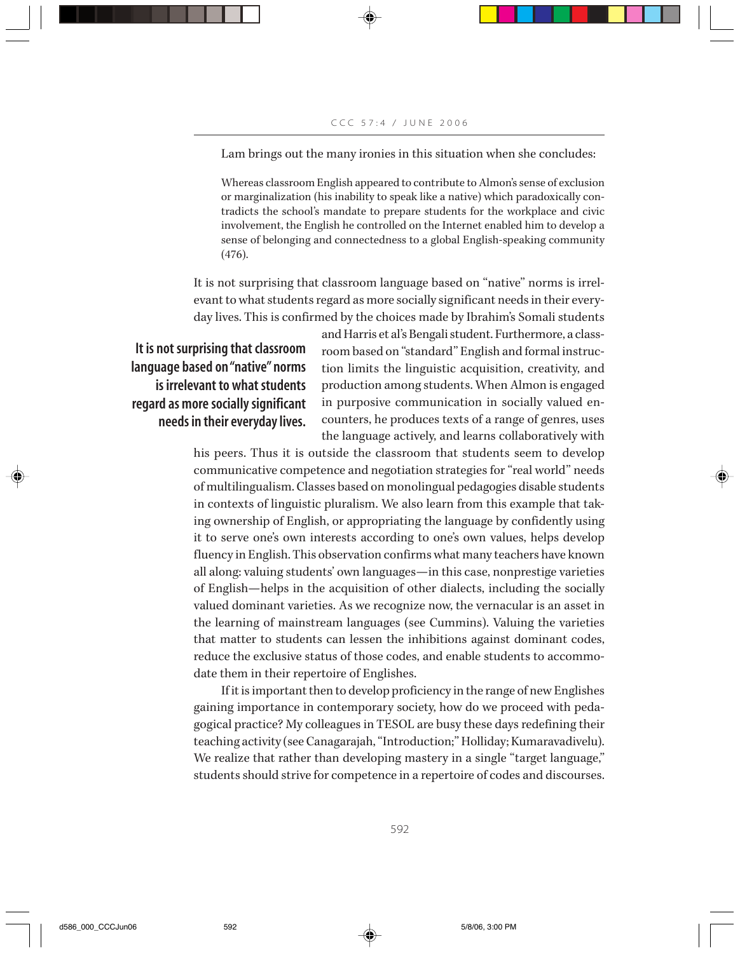Lam brings out the many ironies in this situation when she concludes:

Whereas classroom English appeared to contribute to Almon's sense of exclusion or marginalization (his inability to speak like a native) which paradoxically contradicts the school's mandate to prepare students for the workplace and civic involvement, the English he controlled on the Internet enabled him to develop a sense of belonging and connectedness to a global English-speaking community (476).

It is not surprising that classroom language based on "native" norms is irrelevant to what students regard as more socially significant needs in their everyday lives. This is confirmed by the choices made by Ibrahim's Somali students

**It is not surprising that classroom language based on "native" norms is irrelevant to what students regard as more socially significant needs in their everyday lives.**

and Harris et al's Bengali student. Furthermore, a classroom based on "standard" English and formal instruction limits the linguistic acquisition, creativity, and production among students. When Almon is engaged in purposive communication in socially valued encounters, he produces texts of a range of genres, uses the language actively, and learns collaboratively with

his peers. Thus it is outside the classroom that students seem to develop communicative competence and negotiation strategies for "real world" needs of multilingualism. Classes based on monolingual pedagogies disable students in contexts of linguistic pluralism. We also learn from this example that taking ownership of English, or appropriating the language by confidently using it to serve one's own interests according to one's own values, helps develop fluency in English. This observation confirms what many teachers have known all along: valuing students' own languages—in this case, nonprestige varieties of English—helps in the acquisition of other dialects, including the socially valued dominant varieties. As we recognize now, the vernacular is an asset in the learning of mainstream languages (see Cummins). Valuing the varieties that matter to students can lessen the inhibitions against dominant codes, reduce the exclusive status of those codes, and enable students to accommodate them in their repertoire of Englishes.

If it is important then to develop proficiency in the range of new Englishes gaining importance in contemporary society, how do we proceed with pedagogical practice? My colleagues in TESOL are busy these days redefining their teaching activity (see Canagarajah, "Introduction;" Holliday; Kumaravadivelu). We realize that rather than developing mastery in a single "target language," students should strive for competence in a repertoire of codes and discourses.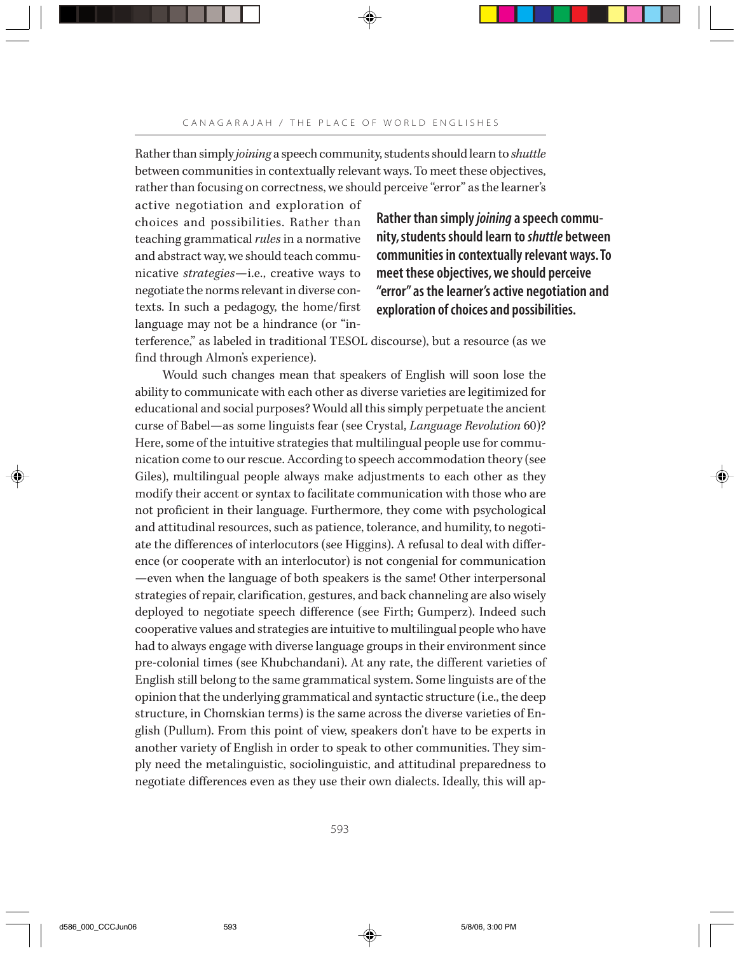Rather than simply *joining* a speech community, students should learn to *shuttle* between communities in contextually relevant ways. To meet these objectives, rather than focusing on correctness, we should perceive "error" as the learner's

active negotiation and exploration of choices and possibilities. Rather than teaching grammatical *rules* in a normative and abstract way, we should teach communicative *strategies*—i.e., creative ways to negotiate the norms relevant in diverse contexts. In such a pedagogy, the home/first language may not be a hindrance (or "in-

**Rather than simply** *joining* **a speech community, students should learn to** *shuttle* **between communities in contextually relevant ways. To meet these objectives, we should perceive "error" as the learner's active negotiation and exploration of choices and possibilities.**

terference," as labeled in traditional TESOL discourse), but a resource (as we find through Almon's experience).

Would such changes mean that speakers of English will soon lose the ability to communicate with each other as diverse varieties are legitimized for educational and social purposes? Would all this simply perpetuate the ancient curse of Babel—as some linguists fear (see Crystal, *Language Revolution* 60)? Here, some of the intuitive strategies that multilingual people use for communication come to our rescue. According to speech accommodation theory (see Giles), multilingual people always make adjustments to each other as they modify their accent or syntax to facilitate communication with those who are not proficient in their language. Furthermore, they come with psychological and attitudinal resources, such as patience, tolerance, and humility, to negotiate the differences of interlocutors (see Higgins). A refusal to deal with difference (or cooperate with an interlocutor) is not congenial for communication —even when the language of both speakers is the same! Other interpersonal strategies of repair, clarification, gestures, and back channeling are also wisely deployed to negotiate speech difference (see Firth; Gumperz). Indeed such cooperative values and strategies are intuitive to multilingual people who have had to always engage with diverse language groups in their environment since pre-colonial times (see Khubchandani). At any rate, the different varieties of English still belong to the same grammatical system. Some linguists are of the opinion that the underlying grammatical and syntactic structure (i.e., the deep structure, in Chomskian terms) is the same across the diverse varieties of English (Pullum). From this point of view, speakers don't have to be experts in another variety of English in order to speak to other communities. They simply need the metalinguistic, sociolinguistic, and attitudinal preparedness to negotiate differences even as they use their own dialects. Ideally, this will ap-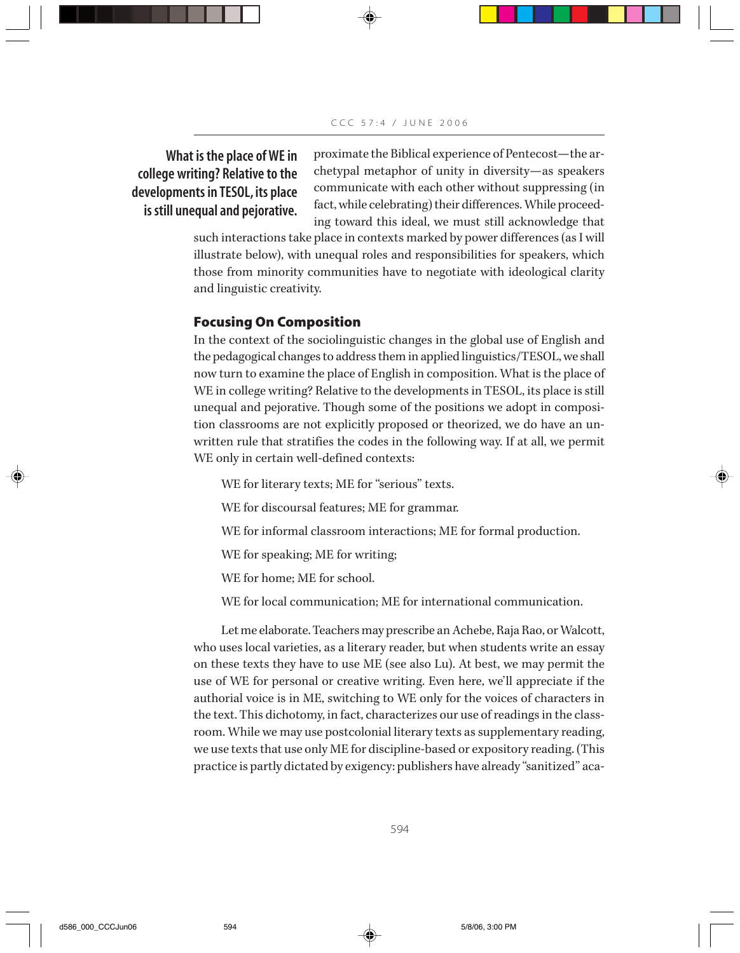**What is the place of WE in college writing? Relative to the developments in TESOL, its place is still unequal and pejorative.** proximate the Biblical experience of Pentecost—the archetypal metaphor of unity in diversity—as speakers communicate with each other without suppressing (in fact, while celebrating) their differences. While proceeding toward this ideal, we must still acknowledge that

such interactions take place in contexts marked by power differences (as I will illustrate below), with unequal roles and responsibilities for speakers, which those from minority communities have to negotiate with ideological clarity and linguistic creativity.

## **Focusing On Composition**

In the context of the sociolinguistic changes in the global use of English and the pedagogical changes to address them in applied linguistics/TESOL, we shall now turn to examine the place of English in composition. What is the place of WE in college writing? Relative to the developments in TESOL, its place is still unequal and pejorative. Though some of the positions we adopt in composition classrooms are not explicitly proposed or theorized, we do have an unwritten rule that stratifies the codes in the following way. If at all, we permit WE only in certain well-defined contexts:

WE for literary texts; ME for "serious" texts.

WE for discoursal features; ME for grammar.

WE for informal classroom interactions; ME for formal production.

WE for speaking; ME for writing;

WE for home; ME for school.

WE for local communication; ME for international communication.

Let me elaborate. Teachers may prescribe an Achebe, Raja Rao, or Walcott, who uses local varieties, as a literary reader, but when students write an essay on these texts they have to use ME (see also Lu). At best, we may permit the use of WE for personal or creative writing. Even here, we'll appreciate if the authorial voice is in ME, switching to WE only for the voices of characters in the text. This dichotomy, in fact, characterizes our use of readings in the classroom. While we may use postcolonial literary texts as supplementary reading, we use texts that use only ME for discipline-based or expository reading. (This practice is partly dictated by exigency: publishers have already "sanitized" aca-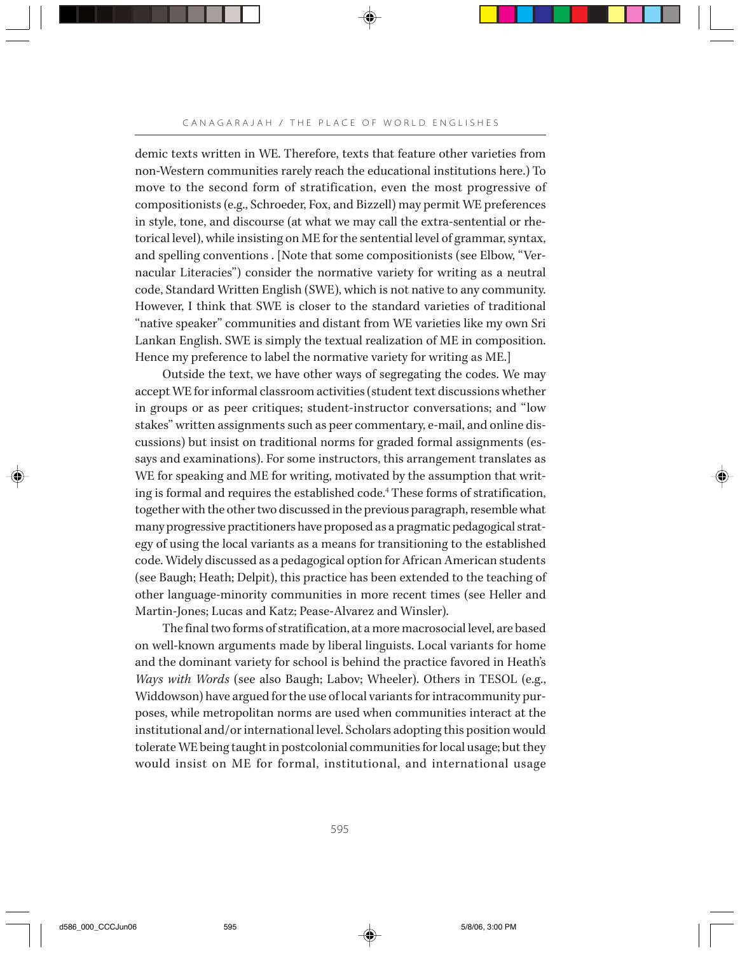demic texts written in WE. Therefore, texts that feature other varieties from non-Western communities rarely reach the educational institutions here.) To move to the second form of stratification, even the most progressive of compositionists (e.g., Schroeder, Fox, and Bizzell) may permit WE preferences in style, tone, and discourse (at what we may call the extra-sentential or rhetorical level), while insisting on ME for the sentential level of grammar, syntax, and spelling conventions . [Note that some compositionists (see Elbow, "Vernacular Literacies") consider the normative variety for writing as a neutral code, Standard Written English (SWE), which is not native to any community. However, I think that SWE is closer to the standard varieties of traditional "native speaker" communities and distant from WE varieties like my own Sri Lankan English. SWE is simply the textual realization of ME in composition. Hence my preference to label the normative variety for writing as ME.]

Outside the text, we have other ways of segregating the codes. We may accept WE for informal classroom activities (student text discussions whether in groups or as peer critiques; student-instructor conversations; and "low stakes" written assignments such as peer commentary, e-mail, and online discussions) but insist on traditional norms for graded formal assignments (essays and examinations). For some instructors, this arrangement translates as WE for speaking and ME for writing, motivated by the assumption that writing is formal and requires the established code.<sup>4</sup> These forms of stratification, together with the other two discussed in the previous paragraph, resemble what many progressive practitioners have proposed as a pragmatic pedagogical strategy of using the local variants as a means for transitioning to the established code. Widely discussed as a pedagogical option for African American students (see Baugh; Heath; Delpit), this practice has been extended to the teaching of other language-minority communities in more recent times (see Heller and Martin-Jones; Lucas and Katz; Pease-Alvarez and Winsler).

The final two forms of stratification, at a more macrosocial level, are based on well-known arguments made by liberal linguists. Local variants for home and the dominant variety for school is behind the practice favored in Heath's *Ways with Words* (see also Baugh; Labov; Wheeler). Others in TESOL (e.g., Widdowson) have argued for the use of local variants for intracommunity purposes, while metropolitan norms are used when communities interact at the institutional and/or international level. Scholars adopting this position would tolerate WE being taught in postcolonial communities for local usage; but they would insist on ME for formal, institutional, and international usage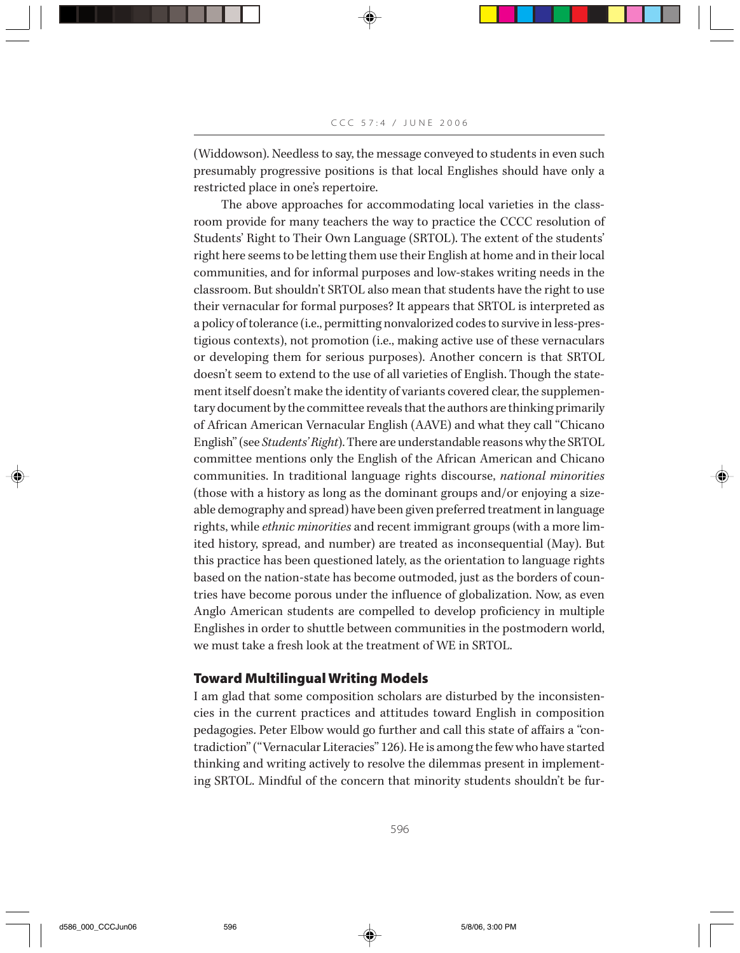(Widdowson). Needless to say, the message conveyed to students in even such presumably progressive positions is that local Englishes should have only a restricted place in one's repertoire.

The above approaches for accommodating local varieties in the classroom provide for many teachers the way to practice the CCCC resolution of Students' Right to Their Own Language (SRTOL). The extent of the students' right here seems to be letting them use their English at home and in their local communities, and for informal purposes and low-stakes writing needs in the classroom. But shouldn't SRTOL also mean that students have the right to use their vernacular for formal purposes? It appears that SRTOL is interpreted as a policy of tolerance (i.e., permitting nonvalorized codes to survive in less-prestigious contexts), not promotion (i.e., making active use of these vernaculars or developing them for serious purposes). Another concern is that SRTOL doesn't seem to extend to the use of all varieties of English. Though the statement itself doesn't make the identity of variants covered clear, the supplementary document by the committee reveals that the authors are thinking primarily of African American Vernacular English (AAVE) and what they call "Chicano English" (see *Students' Right*). There are understandable reasons why the SRTOL committee mentions only the English of the African American and Chicano communities. In traditional language rights discourse, *national minorities* (those with a history as long as the dominant groups and/or enjoying a sizeable demography and spread) have been given preferred treatment in language rights, while *ethnic minorities* and recent immigrant groups (with a more limited history, spread, and number) are treated as inconsequential (May). But this practice has been questioned lately, as the orientation to language rights based on the nation-state has become outmoded, just as the borders of countries have become porous under the influence of globalization. Now, as even Anglo American students are compelled to develop proficiency in multiple Englishes in order to shuttle between communities in the postmodern world, we must take a fresh look at the treatment of WE in SRTOL.

# **Toward Multilingual Writing Models**

I am glad that some composition scholars are disturbed by the inconsistencies in the current practices and attitudes toward English in composition pedagogies. Peter Elbow would go further and call this state of affairs a "contradiction" ("Vernacular Literacies" 126). He is among the few who have started thinking and writing actively to resolve the dilemmas present in implementing SRTOL. Mindful of the concern that minority students shouldn't be fur-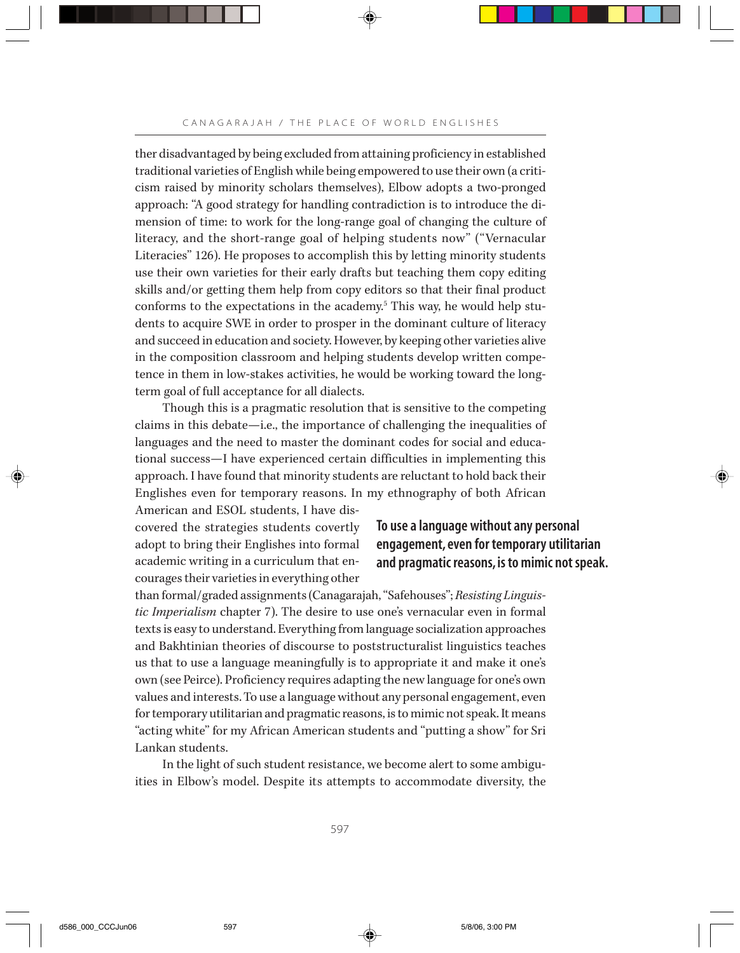ther disadvantaged by being excluded from attaining proficiency in established traditional varieties of English while being empowered to use their own (a criticism raised by minority scholars themselves), Elbow adopts a two-pronged approach: "A good strategy for handling contradiction is to introduce the dimension of time: to work for the long-range goal of changing the culture of literacy, and the short-range goal of helping students now" ("Vernacular Literacies" 126). He proposes to accomplish this by letting minority students use their own varieties for their early drafts but teaching them copy editing skills and/or getting them help from copy editors so that their final product conforms to the expectations in the academy.<sup>5</sup> This way, he would help students to acquire SWE in order to prosper in the dominant culture of literacy and succeed in education and society. However, by keeping other varieties alive in the composition classroom and helping students develop written competence in them in low-stakes activities, he would be working toward the longterm goal of full acceptance for all dialects.

Though this is a pragmatic resolution that is sensitive to the competing claims in this debate—i.e., the importance of challenging the inequalities of languages and the need to master the dominant codes for social and educational success—I have experienced certain difficulties in implementing this approach. I have found that minority students are reluctant to hold back their Englishes even for temporary reasons. In my ethnography of both African American and ESOL students, I have dis-

covered the strategies students covertly adopt to bring their Englishes into formal academic writing in a curriculum that encourages their varieties in everything other

# **To use a language without any personal engagement, even for temporary utilitarian and pragmatic reasons, is to mimic not speak.**

than formal/graded assignments (Canagarajah, "Safehouses"; *Resisting Linguistic Imperialism* chapter 7). The desire to use one's vernacular even in formal texts is easy to understand. Everything from language socialization approaches and Bakhtinian theories of discourse to poststructuralist linguistics teaches us that to use a language meaningfully is to appropriate it and make it one's own (see Peirce). Proficiency requires adapting the new language for one's own values and interests. To use a language without any personal engagement, even for temporary utilitarian and pragmatic reasons, is to mimic not speak. It means "acting white" for my African American students and "putting a show" for Sri Lankan students.

In the light of such student resistance, we become alert to some ambiguities in Elbow's model. Despite its attempts to accommodate diversity, the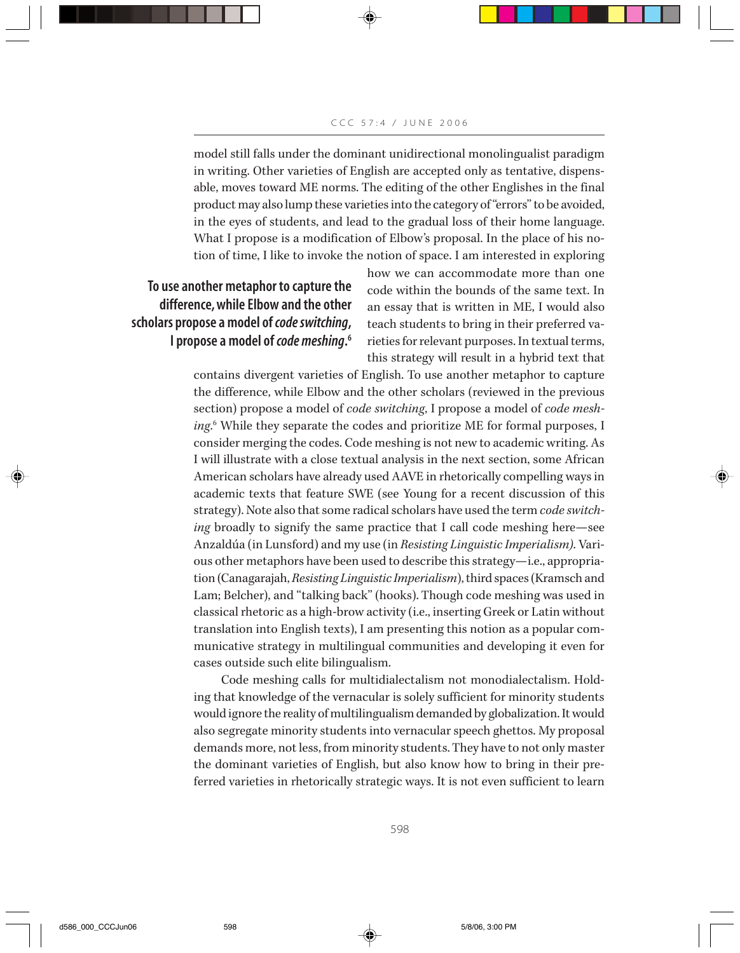model still falls under the dominant unidirectional monolingualist paradigm in writing. Other varieties of English are accepted only as tentative, dispensable, moves toward ME norms. The editing of the other Englishes in the final product may also lump these varieties into the category of "errors" to be avoided, in the eyes of students, and lead to the gradual loss of their home language. What I propose is a modification of Elbow's proposal. In the place of his notion of time, I like to invoke the notion of space. I am interested in exploring

# **To use another metaphor to capture the difference, while Elbow and the other scholars propose a model of** *code switching***, I propose a model of** *code meshing***. 6**

how we can accommodate more than one code within the bounds of the same text. In an essay that is written in ME, I would also teach students to bring in their preferred varieties for relevant purposes. In textual terms, this strategy will result in a hybrid text that

contains divergent varieties of English. To use another metaphor to capture the difference, while Elbow and the other scholars (reviewed in the previous section) propose a model of *code switching*, I propose a model of *code meshing*. <sup>6</sup> While they separate the codes and prioritize ME for formal purposes, I consider merging the codes. Code meshing is not new to academic writing. As I will illustrate with a close textual analysis in the next section, some African American scholars have already used AAVE in rhetorically compelling ways in academic texts that feature SWE (see Young for a recent discussion of this strategy). Note also that some radical scholars have used the term *code switching* broadly to signify the same practice that I call code meshing here—see Anzaldúa (in Lunsford) and my use (in *Resisting Linguistic Imperialism)*. Various other metaphors have been used to describe this strategy—i.e., appropriation (Canagarajah, *Resisting Linguistic Imperialism*), third spaces (Kramsch and Lam; Belcher), and "talking back" (hooks). Though code meshing was used in classical rhetoric as a high-brow activity (i.e., inserting Greek or Latin without translation into English texts), I am presenting this notion as a popular communicative strategy in multilingual communities and developing it even for cases outside such elite bilingualism.

Code meshing calls for multidialectalism not monodialectalism. Holding that knowledge of the vernacular is solely sufficient for minority students would ignore the reality of multilingualism demanded by globalization. It would also segregate minority students into vernacular speech ghettos. My proposal demands more, not less, from minority students. They have to not only master the dominant varieties of English, but also know how to bring in their preferred varieties in rhetorically strategic ways. It is not even sufficient to learn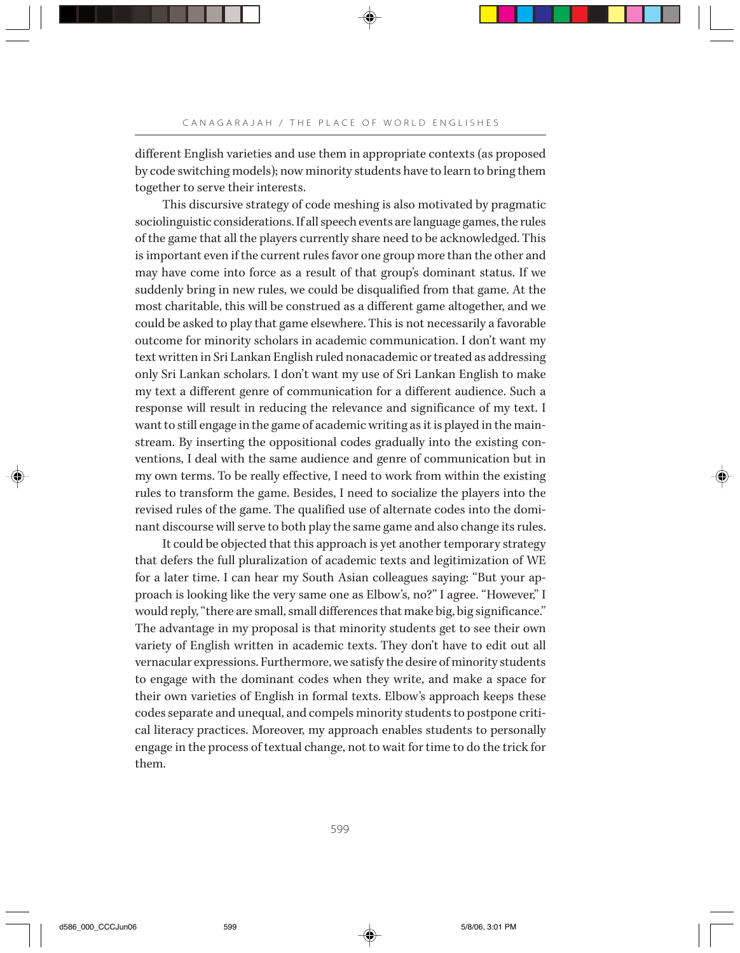different English varieties and use them in appropriate contexts (as proposed by code switching models); now minority students have to learn to bring them together to serve their interests.

This discursive strategy of code meshing is also motivated by pragmatic sociolinguistic considerations. If all speech events are language games, the rules of the game that all the players currently share need to be acknowledged. This is important even if the current rules favor one group more than the other and may have come into force as a result of that group's dominant status. If we suddenly bring in new rules, we could be disqualified from that game. At the most charitable, this will be construed as a different game altogether, and we could be asked to play that game elsewhere. This is not necessarily a favorable outcome for minority scholars in academic communication. I don't want my text written in Sri Lankan English ruled nonacademic or treated as addressing only Sri Lankan scholars. I don't want my use of Sri Lankan English to make my text a different genre of communication for a different audience. Such a response will result in reducing the relevance and significance of my text. I want to still engage in the game of academic writing as it is played in the mainstream. By inserting the oppositional codes gradually into the existing conventions, I deal with the same audience and genre of communication but in my own terms. To be really effective, I need to work from within the existing rules to transform the game. Besides, I need to socialize the players into the revised rules of the game. The qualified use of alternate codes into the dominant discourse will serve to both play the same game and also change its rules.

It could be objected that this approach is yet another temporary strategy that defers the full pluralization of academic texts and legitimization of WE for a later time. I can hear my South Asian colleagues saying: "But your approach is looking like the very same one as Elbow's, no?" I agree. "However," I would reply, "there are small, small differences that make big, big significance." The advantage in my proposal is that minority students get to see their own variety of English written in academic texts. They don't have to edit out all vernacular expressions. Furthermore, we satisfy the desire of minority students to engage with the dominant codes when they write, and make a space for their own varieties of English in formal texts. Elbow's approach keeps these codes separate and unequal, and compels minority students to postpone critical literacy practices. Moreover, my approach enables students to personally engage in the process of textual change, not to wait for time to do the trick for them.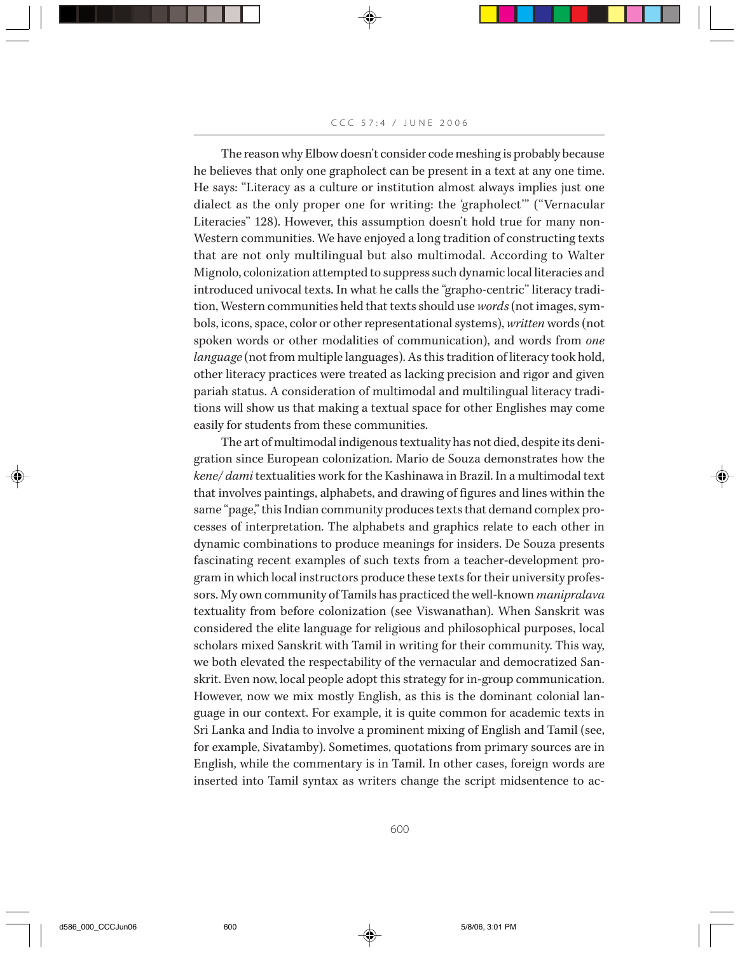The reason why Elbow doesn't consider code meshing is probably because he believes that only one grapholect can be present in a text at any one time. He says: "Literacy as a culture or institution almost always implies just one dialect as the only proper one for writing: the 'grapholect'" ("Vernacular Literacies" 128). However, this assumption doesn't hold true for many non-Western communities. We have enjoyed a long tradition of constructing texts that are not only multilingual but also multimodal. According to Walter Mignolo, colonization attempted to suppress such dynamic local literacies and introduced univocal texts. In what he calls the "grapho-centric" literacy tradition, Western communities held that texts should use *words* (not images, symbols, icons, space, color or other representational systems), *written* words (not spoken words or other modalities of communication), and words from *one language* (not from multiple languages). As this tradition of literacy took hold, other literacy practices were treated as lacking precision and rigor and given pariah status. A consideration of multimodal and multilingual literacy traditions will show us that making a textual space for other Englishes may come easily for students from these communities.

The art of multimodal indigenous textuality has not died, despite its denigration since European colonization. Mario de Souza demonstrates how the *kene/ dami* textualities work for the Kashinawa in Brazil. In a multimodal text that involves paintings, alphabets, and drawing of figures and lines within the same "page," this Indian community produces texts that demand complex processes of interpretation. The alphabets and graphics relate to each other in dynamic combinations to produce meanings for insiders. De Souza presents fascinating recent examples of such texts from a teacher-development program in which local instructors produce these texts for their university professors. My own community of Tamils has practiced the well-known *manipralava* textuality from before colonization (see Viswanathan). When Sanskrit was considered the elite language for religious and philosophical purposes, local scholars mixed Sanskrit with Tamil in writing for their community. This way, we both elevated the respectability of the vernacular and democratized Sanskrit. Even now, local people adopt this strategy for in-group communication. However, now we mix mostly English, as this is the dominant colonial language in our context. For example, it is quite common for academic texts in Sri Lanka and India to involve a prominent mixing of English and Tamil (see, for example, Sivatamby). Sometimes, quotations from primary sources are in English, while the commentary is in Tamil. In other cases, foreign words are inserted into Tamil syntax as writers change the script midsentence to ac-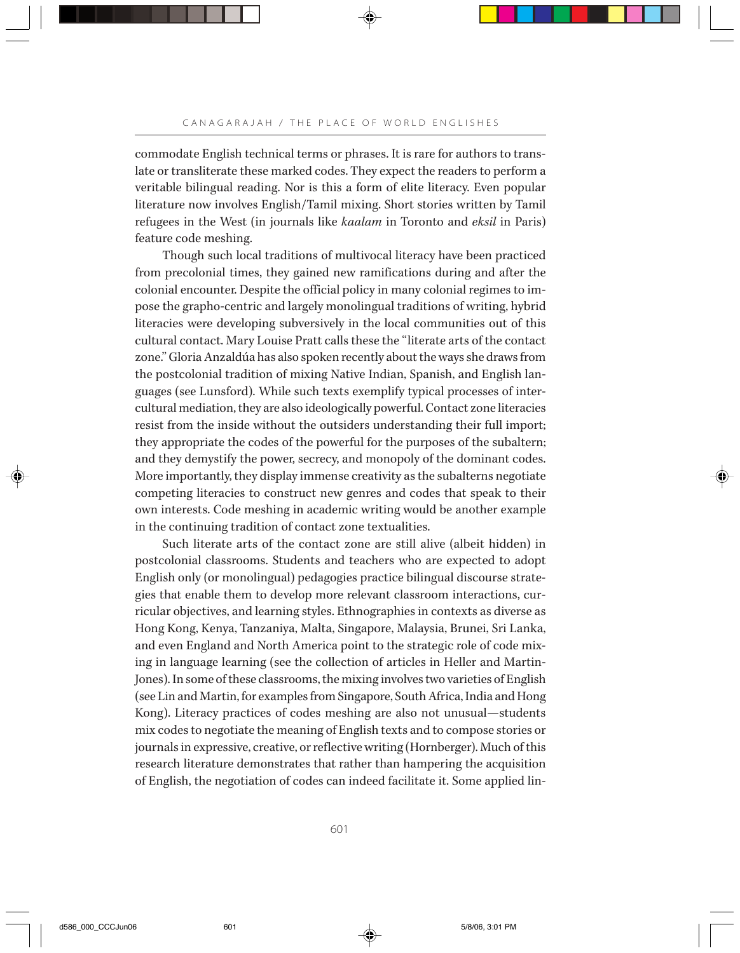commodate English technical terms or phrases. It is rare for authors to translate or transliterate these marked codes. They expect the readers to perform a veritable bilingual reading. Nor is this a form of elite literacy. Even popular literature now involves English/Tamil mixing. Short stories written by Tamil refugees in the West (in journals like *kaalam* in Toronto and *eksil* in Paris) feature code meshing.

Though such local traditions of multivocal literacy have been practiced from precolonial times, they gained new ramifications during and after the colonial encounter. Despite the official policy in many colonial regimes to impose the grapho-centric and largely monolingual traditions of writing, hybrid literacies were developing subversively in the local communities out of this cultural contact. Mary Louise Pratt calls these the "literate arts of the contact zone." Gloria Anzaldúa has also spoken recently about the ways she draws from the postcolonial tradition of mixing Native Indian, Spanish, and English languages (see Lunsford). While such texts exemplify typical processes of intercultural mediation, they are also ideologically powerful. Contact zone literacies resist from the inside without the outsiders understanding their full import; they appropriate the codes of the powerful for the purposes of the subaltern; and they demystify the power, secrecy, and monopoly of the dominant codes. More importantly, they display immense creativity as the subalterns negotiate competing literacies to construct new genres and codes that speak to their own interests. Code meshing in academic writing would be another example in the continuing tradition of contact zone textualities.

Such literate arts of the contact zone are still alive (albeit hidden) in postcolonial classrooms. Students and teachers who are expected to adopt English only (or monolingual) pedagogies practice bilingual discourse strategies that enable them to develop more relevant classroom interactions, curricular objectives, and learning styles. Ethnographies in contexts as diverse as Hong Kong, Kenya, Tanzaniya, Malta, Singapore, Malaysia, Brunei, Sri Lanka, and even England and North America point to the strategic role of code mixing in language learning (see the collection of articles in Heller and Martin-Jones). In some of these classrooms, the mixing involves two varieties of English (see Lin and Martin, for examples from Singapore, South Africa, India and Hong Kong). Literacy practices of codes meshing are also not unusual—students mix codes to negotiate the meaning of English texts and to compose stories or journals in expressive, creative, or reflective writing (Hornberger). Much of this research literature demonstrates that rather than hampering the acquisition of English, the negotiation of codes can indeed facilitate it. Some applied lin-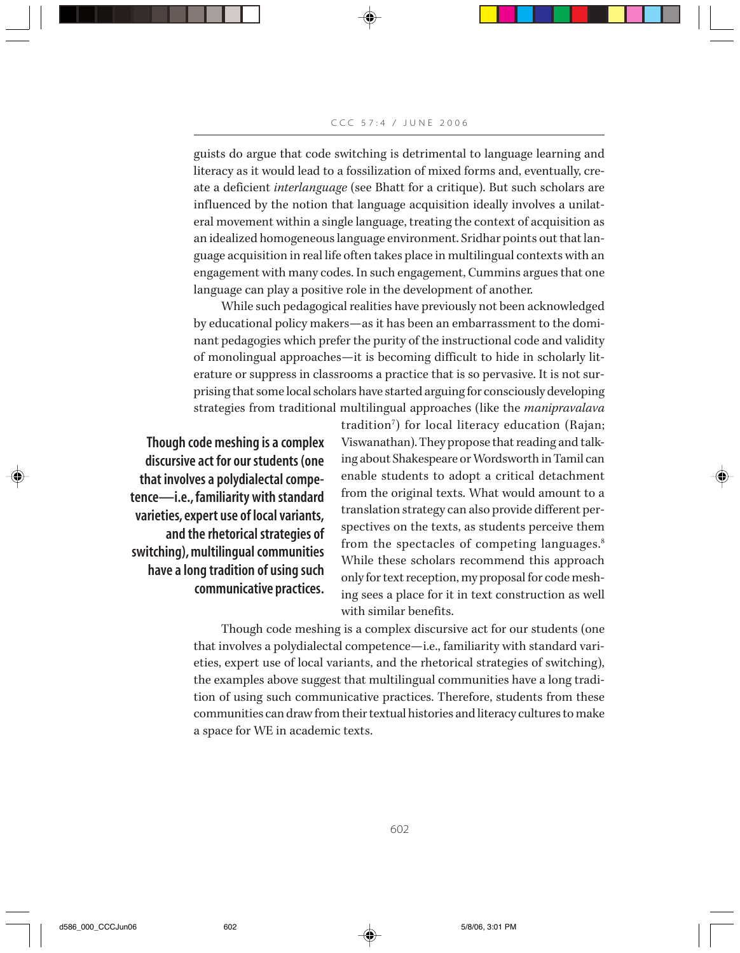guists do argue that code switching is detrimental to language learning and literacy as it would lead to a fossilization of mixed forms and, eventually, create a deficient *interlanguage* (see Bhatt for a critique). But such scholars are influenced by the notion that language acquisition ideally involves a unilateral movement within a single language, treating the context of acquisition as an idealized homogeneous language environment. Sridhar points out that language acquisition in real life often takes place in multilingual contexts with an engagement with many codes. In such engagement, Cummins argues that one language can play a positive role in the development of another.

While such pedagogical realities have previously not been acknowledged by educational policy makers—as it has been an embarrassment to the dominant pedagogies which prefer the purity of the instructional code and validity of monolingual approaches—it is becoming difficult to hide in scholarly literature or suppress in classrooms a practice that is so pervasive. It is not surprising that some local scholars have started arguing for consciously developing strategies from traditional multilingual approaches (like the *manipravalava*

**Though code meshing is a complex discursive act for our students (one that involves a polydialectal competence—i.e., familiarity with standard varieties, expert use of local variants, and the rhetorical strategies of switching), multilingual communities have a long tradition of using such communicative practices.**

tradition7 ) for local literacy education (Rajan; Viswanathan). They propose that reading and talking about Shakespeare or Wordsworth in Tamil can enable students to adopt a critical detachment from the original texts. What would amount to a translation strategy can also provide different perspectives on the texts, as students perceive them from the spectacles of competing languages.<sup>8</sup> While these scholars recommend this approach only for text reception, my proposal for code meshing sees a place for it in text construction as well with similar benefits.

Though code meshing is a complex discursive act for our students (one that involves a polydialectal competence—i.e., familiarity with standard varieties, expert use of local variants, and the rhetorical strategies of switching), the examples above suggest that multilingual communities have a long tradition of using such communicative practices. Therefore, students from these communities can draw from their textual histories and literacy cultures to make a space for WE in academic texts.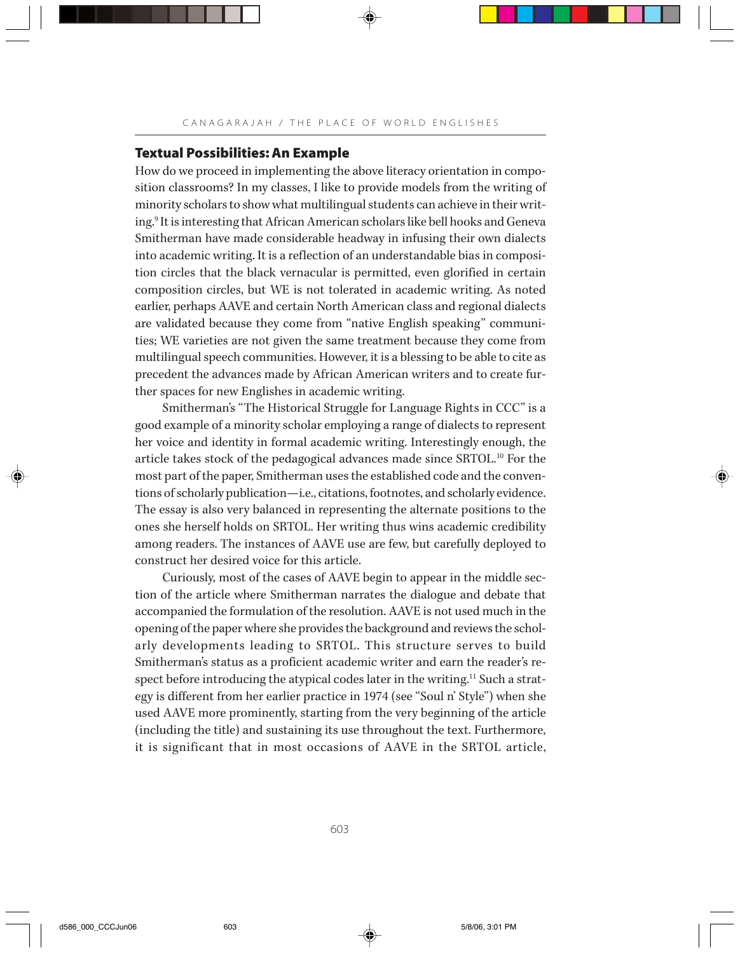# **Textual Possibilities: An Example**

How do we proceed in implementing the above literacy orientation in composition classrooms? In my classes, I like to provide models from the writing of minority scholars to show what multilingual students can achieve in their writing.9 It is interesting that African American scholars like bell hooks and Geneva Smitherman have made considerable headway in infusing their own dialects into academic writing. It is a reflection of an understandable bias in composition circles that the black vernacular is permitted, even glorified in certain composition circles, but WE is not tolerated in academic writing. As noted earlier, perhaps AAVE and certain North American class and regional dialects are validated because they come from "native English speaking" communities; WE varieties are not given the same treatment because they come from multilingual speech communities. However, it is a blessing to be able to cite as precedent the advances made by African American writers and to create further spaces for new Englishes in academic writing.

Smitherman's "The Historical Struggle for Language Rights in CCC" is a good example of a minority scholar employing a range of dialects to represent her voice and identity in formal academic writing. Interestingly enough, the article takes stock of the pedagogical advances made since SRTOL.10 For the most part of the paper, Smitherman uses the established code and the conventions of scholarly publication—i.e., citations, footnotes, and scholarly evidence. The essay is also very balanced in representing the alternate positions to the ones she herself holds on SRTOL. Her writing thus wins academic credibility among readers. The instances of AAVE use are few, but carefully deployed to construct her desired voice for this article.

Curiously, most of the cases of AAVE begin to appear in the middle section of the article where Smitherman narrates the dialogue and debate that accompanied the formulation of the resolution. AAVE is not used much in the opening of the paper where she provides the background and reviews the scholarly developments leading to SRTOL. This structure serves to build Smitherman's status as a proficient academic writer and earn the reader's respect before introducing the atypical codes later in the writing.<sup>11</sup> Such a strategy is different from her earlier practice in 1974 (see "Soul n' Style") when she used AAVE more prominently, starting from the very beginning of the article (including the title) and sustaining its use throughout the text. Furthermore, it is significant that in most occasions of AAVE in the SRTOL article,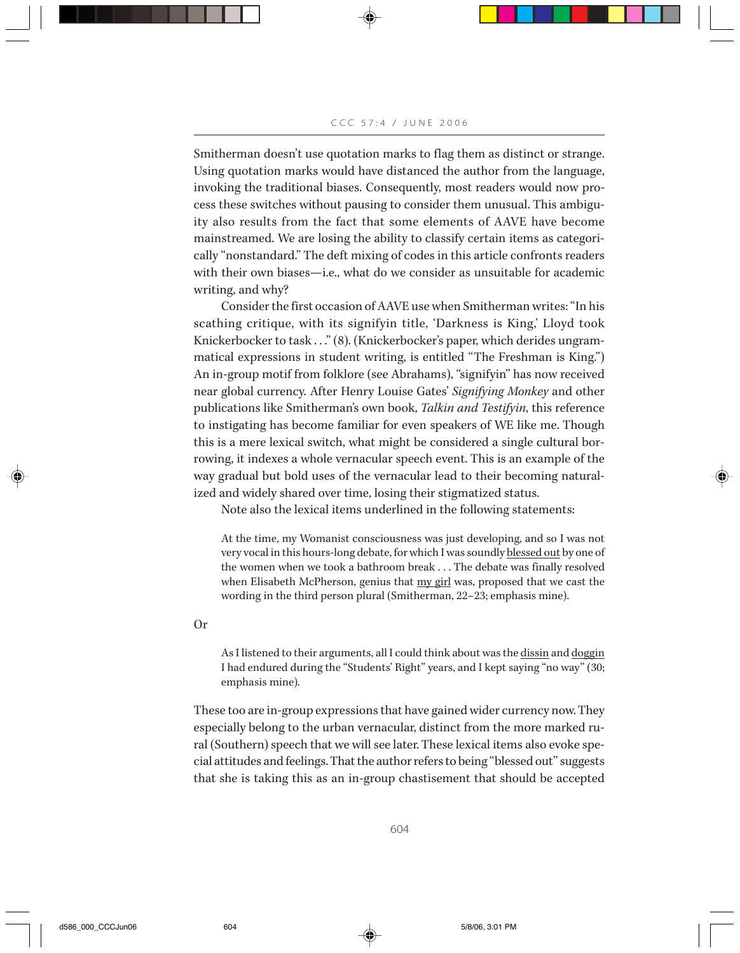Smitherman doesn't use quotation marks to flag them as distinct or strange. Using quotation marks would have distanced the author from the language, invoking the traditional biases. Consequently, most readers would now process these switches without pausing to consider them unusual. This ambiguity also results from the fact that some elements of AAVE have become mainstreamed. We are losing the ability to classify certain items as categorically "nonstandard." The deft mixing of codes in this article confronts readers with their own biases—i.e., what do we consider as unsuitable for academic writing, and why?

Consider the first occasion of AAVE use when Smitherman writes: "In his scathing critique, with its signifyin title, 'Darkness is King,' Lloyd took Knickerbocker to task . . . "(8). (Knickerbocker's paper, which derides ungrammatical expressions in student writing, is entitled "The Freshman is King.") An in-group motif from folklore (see Abrahams), "signifyin" has now received near global currency. After Henry Louise Gates' *Signifying Monkey* and other publications like Smitherman's own book, *Talkin and Testifyin*, this reference to instigating has become familiar for even speakers of WE like me. Though this is a mere lexical switch, what might be considered a single cultural borrowing, it indexes a whole vernacular speech event. This is an example of the way gradual but bold uses of the vernacular lead to their becoming naturalized and widely shared over time, losing their stigmatized status.

Note also the lexical items underlined in the following statements:

At the time, my Womanist consciousness was just developing, and so I was not very vocal in this hours-long debate, for which I was soundly blessed out by one of the women when we took a bathroom break . . . The debate was finally resolved when Elisabeth McPherson, genius that my girl was, proposed that we cast the wording in the third person plural (Smitherman, 22–23; emphasis mine).

Or

As I listened to their arguments, all I could think about was the dissin and doggin I had endured during the "Students' Right" years, and I kept saying "no way" (30; emphasis mine).

These too are in-group expressions that have gained wider currency now. They especially belong to the urban vernacular, distinct from the more marked rural (Southern) speech that we will see later. These lexical items also evoke special attitudes and feelings. That the author refers to being "blessed out" suggests that she is taking this as an in-group chastisement that should be accepted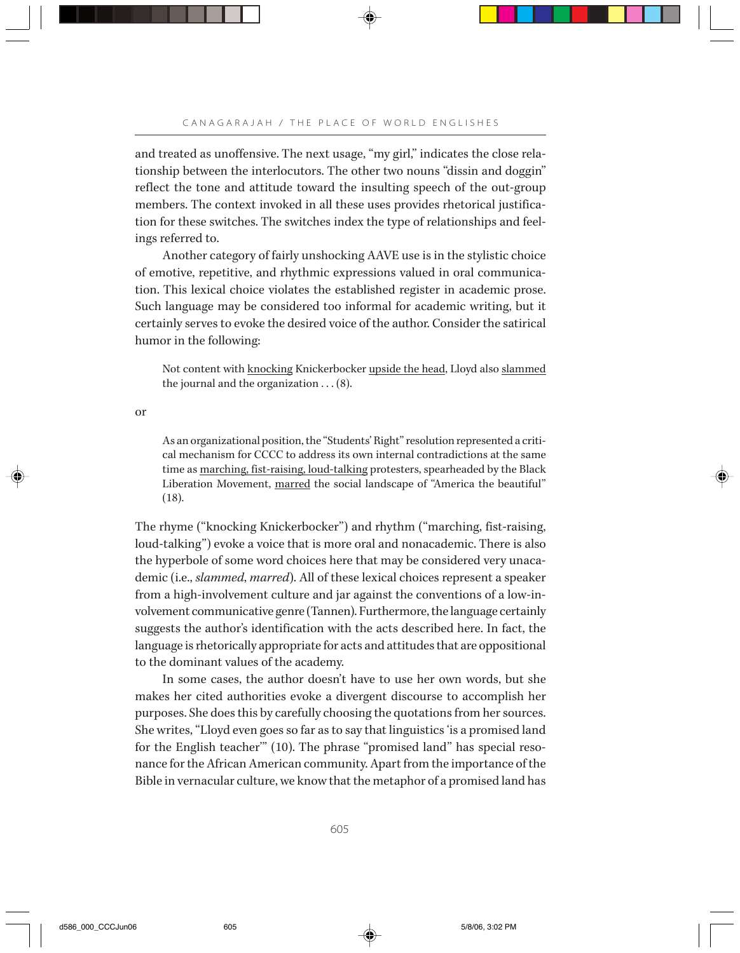and treated as unoffensive. The next usage, "my girl," indicates the close relationship between the interlocutors. The other two nouns "dissin and doggin" reflect the tone and attitude toward the insulting speech of the out-group members. The context invoked in all these uses provides rhetorical justification for these switches. The switches index the type of relationships and feelings referred to.

Another category of fairly unshocking AAVE use is in the stylistic choice of emotive, repetitive, and rhythmic expressions valued in oral communication. This lexical choice violates the established register in academic prose. Such language may be considered too informal for academic writing, but it certainly serves to evoke the desired voice of the author. Consider the satirical humor in the following:

Not content with knocking Knickerbocker upside the head, Lloyd also slammed the journal and the organization  $\ldots$  (8).

or

As an organizational position, the "Students' Right" resolution represented a critical mechanism for CCCC to address its own internal contradictions at the same time as marching, fist-raising, loud-talking protesters, spearheaded by the Black Liberation Movement, marred the social landscape of "America the beautiful" (18).

The rhyme ("knocking Knickerbocker") and rhythm ("marching, fist-raising, loud-talking") evoke a voice that is more oral and nonacademic. There is also the hyperbole of some word choices here that may be considered very unacademic (i.e., *slammed*, *marred*). All of these lexical choices represent a speaker from a high-involvement culture and jar against the conventions of a low-involvement communicative genre (Tannen). Furthermore, the language certainly suggests the author's identification with the acts described here. In fact, the language is rhetorically appropriate for acts and attitudes that are oppositional to the dominant values of the academy.

In some cases, the author doesn't have to use her own words, but she makes her cited authorities evoke a divergent discourse to accomplish her purposes. She does this by carefully choosing the quotations from her sources. She writes, "Lloyd even goes so far as to say that linguistics 'is a promised land for the English teacher'" (10). The phrase "promised land" has special resonance for the African American community. Apart from the importance of the Bible in vernacular culture, we know that the metaphor of a promised land has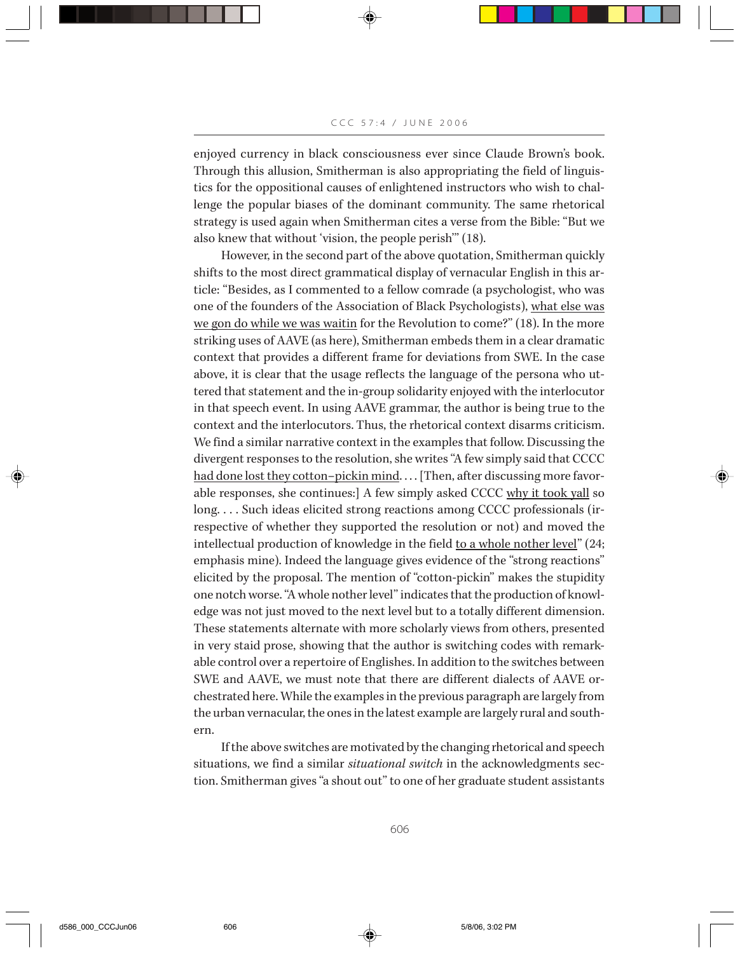enjoyed currency in black consciousness ever since Claude Brown's book. Through this allusion, Smitherman is also appropriating the field of linguistics for the oppositional causes of enlightened instructors who wish to challenge the popular biases of the dominant community. The same rhetorical strategy is used again when Smitherman cites a verse from the Bible: "But we also knew that without 'vision, the people perish'" (18).

However, in the second part of the above quotation, Smitherman quickly shifts to the most direct grammatical display of vernacular English in this article: "Besides, as I commented to a fellow comrade (a psychologist, who was one of the founders of the Association of Black Psychologists), what else was we gon do while we was waitin for the Revolution to come?" (18). In the more striking uses of AAVE (as here), Smitherman embeds them in a clear dramatic context that provides a different frame for deviations from SWE. In the case above, it is clear that the usage reflects the language of the persona who uttered that statement and the in-group solidarity enjoyed with the interlocutor in that speech event. In using AAVE grammar, the author is being true to the context and the interlocutors. Thus, the rhetorical context disarms criticism. We find a similar narrative context in the examples that follow. Discussing the divergent responses to the resolution, she writes "A few simply said that CCCC had done lost they cotton–pickin mind.... [Then, after discussing more favorable responses, she continues:] A few simply asked CCCC why it took yall so long. . . . Such ideas elicited strong reactions among CCCC professionals (irrespective of whether they supported the resolution or not) and moved the intellectual production of knowledge in the field to a whole nother level" (24; emphasis mine). Indeed the language gives evidence of the "strong reactions" elicited by the proposal. The mention of "cotton-pickin" makes the stupidity one notch worse. "A whole nother level" indicates that the production of knowledge was not just moved to the next level but to a totally different dimension. These statements alternate with more scholarly views from others, presented in very staid prose, showing that the author is switching codes with remarkable control over a repertoire of Englishes. In addition to the switches between SWE and AAVE, we must note that there are different dialects of AAVE orchestrated here. While the examples in the previous paragraph are largely from the urban vernacular, the ones in the latest example are largely rural and southern.

If the above switches are motivated by the changing rhetorical and speech situations, we find a similar *situational switch* in the acknowledgments section. Smitherman gives "a shout out" to one of her graduate student assistants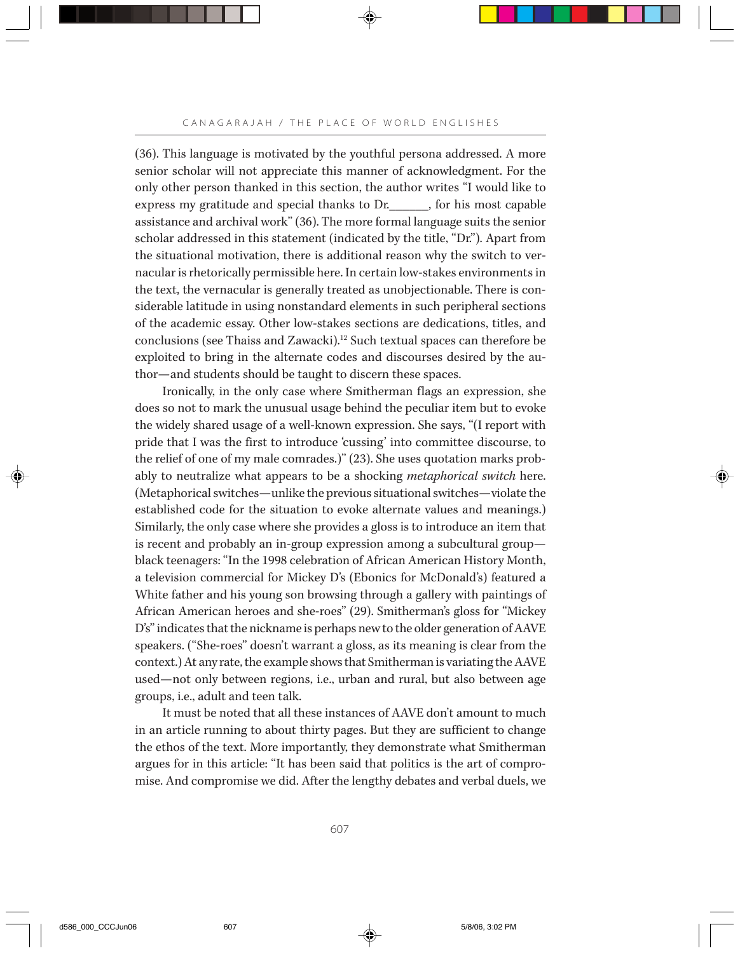(36). This language is motivated by the youthful persona addressed. A more senior scholar will not appreciate this manner of acknowledgment. For the only other person thanked in this section, the author writes "I would like to express my gratitude and special thanks to Dr.\_\_\_\_\_\_, for his most capable assistance and archival work" (36). The more formal language suits the senior scholar addressed in this statement (indicated by the title, "Dr."). Apart from the situational motivation, there is additional reason why the switch to vernacular is rhetorically permissible here. In certain low-stakes environments in the text, the vernacular is generally treated as unobjectionable. There is considerable latitude in using nonstandard elements in such peripheral sections of the academic essay. Other low-stakes sections are dedications, titles, and conclusions (see Thaiss and Zawacki).<sup>12</sup> Such textual spaces can therefore be exploited to bring in the alternate codes and discourses desired by the author—and students should be taught to discern these spaces.

Ironically, in the only case where Smitherman flags an expression, she does so not to mark the unusual usage behind the peculiar item but to evoke the widely shared usage of a well-known expression. She says, "(I report with pride that I was the first to introduce 'cussing' into committee discourse, to the relief of one of my male comrades.)" (23). She uses quotation marks probably to neutralize what appears to be a shocking *metaphorical switch* here. (Metaphorical switches—unlike the previous situational switches—violate the established code for the situation to evoke alternate values and meanings.) Similarly, the only case where she provides a gloss is to introduce an item that is recent and probably an in-group expression among a subcultural group black teenagers: "In the 1998 celebration of African American History Month, a television commercial for Mickey D's (Ebonics for McDonald's) featured a White father and his young son browsing through a gallery with paintings of African American heroes and she-roes" (29). Smitherman's gloss for "Mickey D's" indicates that the nickname is perhaps new to the older generation of AAVE speakers. ("She-roes" doesn't warrant a gloss, as its meaning is clear from the context.) At any rate, the example shows that Smitherman is variating the AAVE used—not only between regions, i.e., urban and rural, but also between age groups, i.e., adult and teen talk.

It must be noted that all these instances of AAVE don't amount to much in an article running to about thirty pages. But they are sufficient to change the ethos of the text. More importantly, they demonstrate what Smitherman argues for in this article: "It has been said that politics is the art of compromise. And compromise we did. After the lengthy debates and verbal duels, we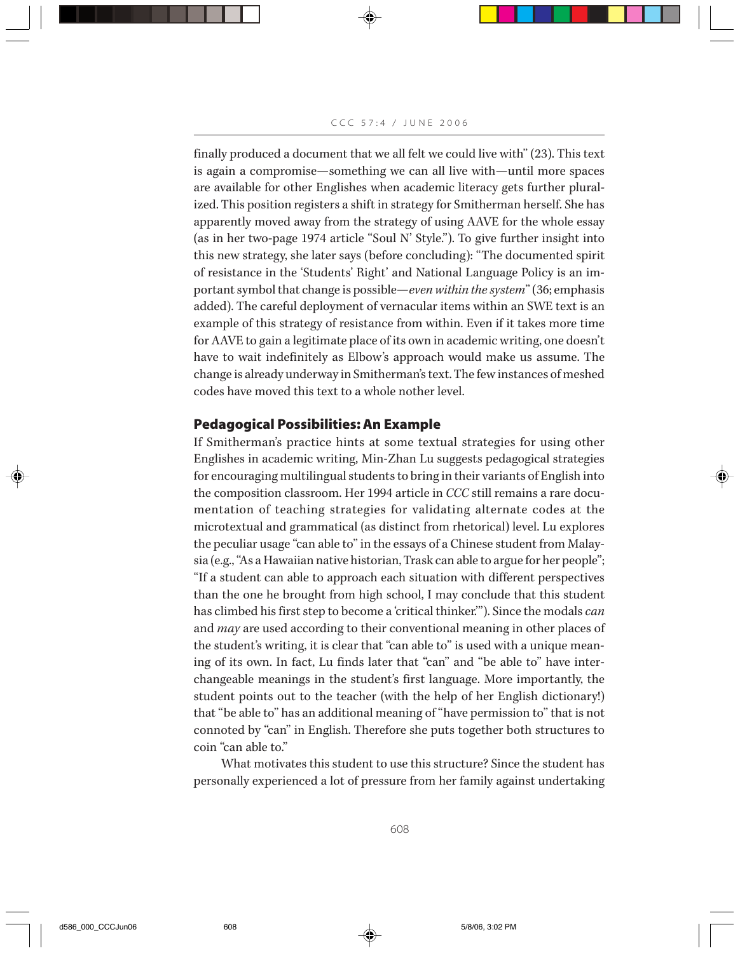finally produced a document that we all felt we could live with" (23). This text is again a compromise—something we can all live with—until more spaces are available for other Englishes when academic literacy gets further pluralized. This position registers a shift in strategy for Smitherman herself. She has apparently moved away from the strategy of using AAVE for the whole essay (as in her two-page 1974 article "Soul N' Style."). To give further insight into this new strategy, she later says (before concluding): "The documented spirit of resistance in the 'Students' Right' and National Language Policy is an important symbol that change is possible—*even within the system*" (36; emphasis added). The careful deployment of vernacular items within an SWE text is an example of this strategy of resistance from within. Even if it takes more time for AAVE to gain a legitimate place of its own in academic writing, one doesn't have to wait indefinitely as Elbow's approach would make us assume. The change is already underway in Smitherman's text. The few instances of meshed codes have moved this text to a whole nother level.

# **Pedagogical Possibilities: An Example**

If Smitherman's practice hints at some textual strategies for using other Englishes in academic writing, Min-Zhan Lu suggests pedagogical strategies for encouraging multilingual students to bring in their variants of English into the composition classroom. Her 1994 article in *CCC* still remains a rare documentation of teaching strategies for validating alternate codes at the microtextual and grammatical (as distinct from rhetorical) level. Lu explores the peculiar usage "can able to" in the essays of a Chinese student from Malaysia (e.g., "As a Hawaiian native historian, Trask can able to argue for her people"; "If a student can able to approach each situation with different perspectives than the one he brought from high school, I may conclude that this student has climbed his first step to become a 'critical thinker.'"). Since the modals *can* and *may* are used according to their conventional meaning in other places of the student's writing, it is clear that "can able to" is used with a unique meaning of its own. In fact, Lu finds later that "can" and "be able to" have interchangeable meanings in the student's first language. More importantly, the student points out to the teacher (with the help of her English dictionary!) that "be able to" has an additional meaning of "have permission to" that is not connoted by "can" in English. Therefore she puts together both structures to coin "can able to."

What motivates this student to use this structure? Since the student has personally experienced a lot of pressure from her family against undertaking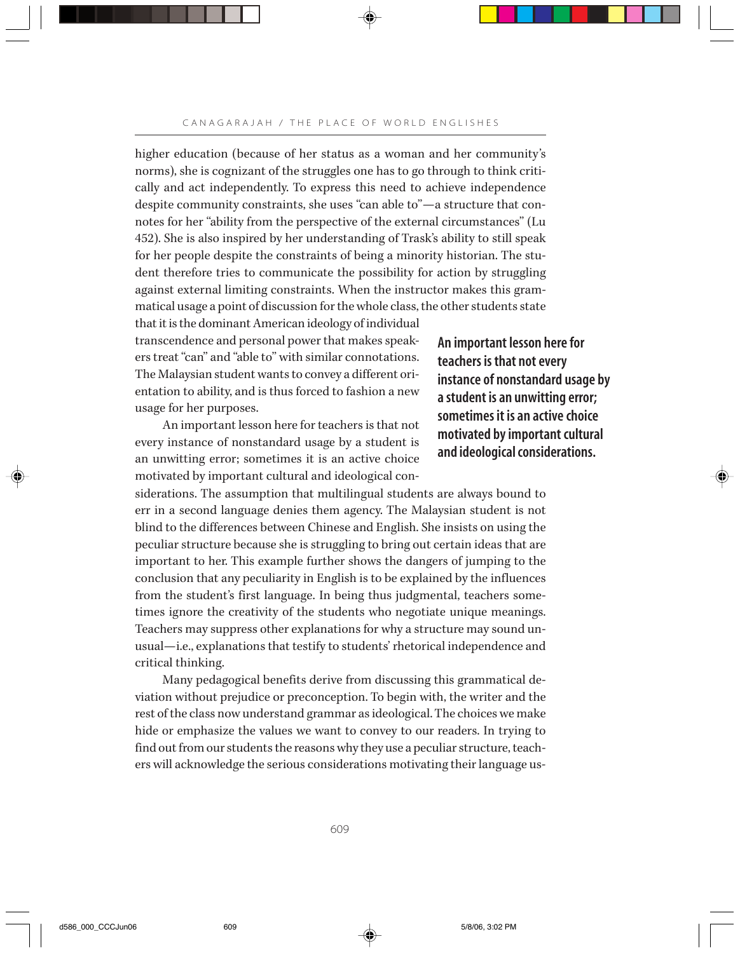higher education (because of her status as a woman and her community's norms), she is cognizant of the struggles one has to go through to think critically and act independently. To express this need to achieve independence despite community constraints, she uses "can able to"—a structure that connotes for her "ability from the perspective of the external circumstances" (Lu 452). She is also inspired by her understanding of Trask's ability to still speak for her people despite the constraints of being a minority historian. The student therefore tries to communicate the possibility for action by struggling against external limiting constraints. When the instructor makes this grammatical usage a point of discussion for the whole class, the other students state

that it is the dominant American ideology of individual transcendence and personal power that makes speakers treat "can" and "able to" with similar connotations. The Malaysian student wants to convey a different orientation to ability, and is thus forced to fashion a new usage for her purposes.

An important lesson here for teachers is that not every instance of nonstandard usage by a student is an unwitting error; sometimes it is an active choice motivated by important cultural and ideological con**An important lesson here for teachers is that not every instance of nonstandard usage by a student is an unwitting error; sometimes it is an active choice motivated by important cultural and ideological considerations.**

siderations. The assumption that multilingual students are always bound to err in a second language denies them agency. The Malaysian student is not blind to the differences between Chinese and English. She insists on using the peculiar structure because she is struggling to bring out certain ideas that are important to her. This example further shows the dangers of jumping to the conclusion that any peculiarity in English is to be explained by the influences from the student's first language. In being thus judgmental, teachers sometimes ignore the creativity of the students who negotiate unique meanings. Teachers may suppress other explanations for why a structure may sound unusual—i.e., explanations that testify to students' rhetorical independence and critical thinking.

Many pedagogical benefits derive from discussing this grammatical deviation without prejudice or preconception. To begin with, the writer and the rest of the class now understand grammar as ideological. The choices we make hide or emphasize the values we want to convey to our readers. In trying to find out from our students the reasons why they use a peculiar structure, teachers will acknowledge the serious considerations motivating their language us-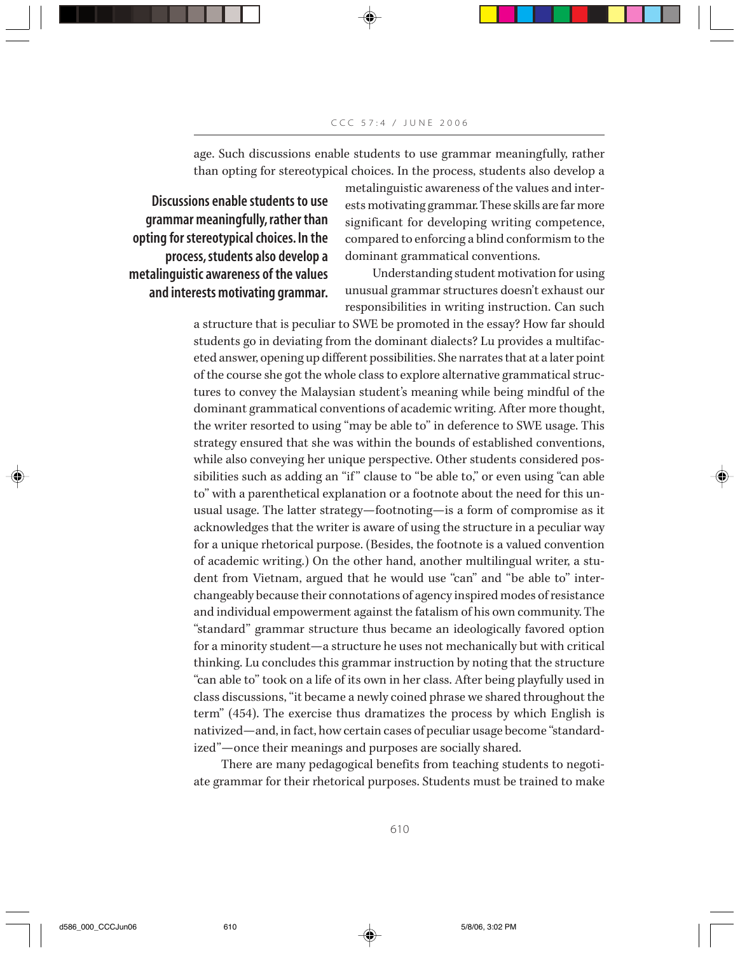age. Such discussions enable students to use grammar meaningfully, rather than opting for stereotypical choices. In the process, students also develop a

**Discussions enable students to use grammar meaningfully, rather than opting for stereotypical choices. In the process, students also develop a metalinguistic awareness of the values and interests motivating grammar.** metalinguistic awareness of the values and interests motivating grammar. These skills are far more significant for developing writing competence, compared to enforcing a blind conformism to the dominant grammatical conventions.

Understanding student motivation for using unusual grammar structures doesn't exhaust our responsibilities in writing instruction. Can such

a structure that is peculiar to SWE be promoted in the essay? How far should students go in deviating from the dominant dialects? Lu provides a multifaceted answer, opening up different possibilities. She narrates that at a later point of the course she got the whole class to explore alternative grammatical structures to convey the Malaysian student's meaning while being mindful of the dominant grammatical conventions of academic writing. After more thought, the writer resorted to using "may be able to" in deference to SWE usage. This strategy ensured that she was within the bounds of established conventions, while also conveying her unique perspective. Other students considered possibilities such as adding an "if" clause to "be able to," or even using "can able to" with a parenthetical explanation or a footnote about the need for this unusual usage. The latter strategy—footnoting—is a form of compromise as it acknowledges that the writer is aware of using the structure in a peculiar way for a unique rhetorical purpose. (Besides, the footnote is a valued convention of academic writing.) On the other hand, another multilingual writer, a student from Vietnam, argued that he would use "can" and "be able to" interchangeably because their connotations of agency inspired modes of resistance and individual empowerment against the fatalism of his own community. The "standard" grammar structure thus became an ideologically favored option for a minority student—a structure he uses not mechanically but with critical thinking. Lu concludes this grammar instruction by noting that the structure "can able to" took on a life of its own in her class. After being playfully used in class discussions, "it became a newly coined phrase we shared throughout the term" (454). The exercise thus dramatizes the process by which English is nativized—and, in fact, how certain cases of peculiar usage become "standardized"—once their meanings and purposes are socially shared.

There are many pedagogical benefits from teaching students to negotiate grammar for their rhetorical purposes. Students must be trained to make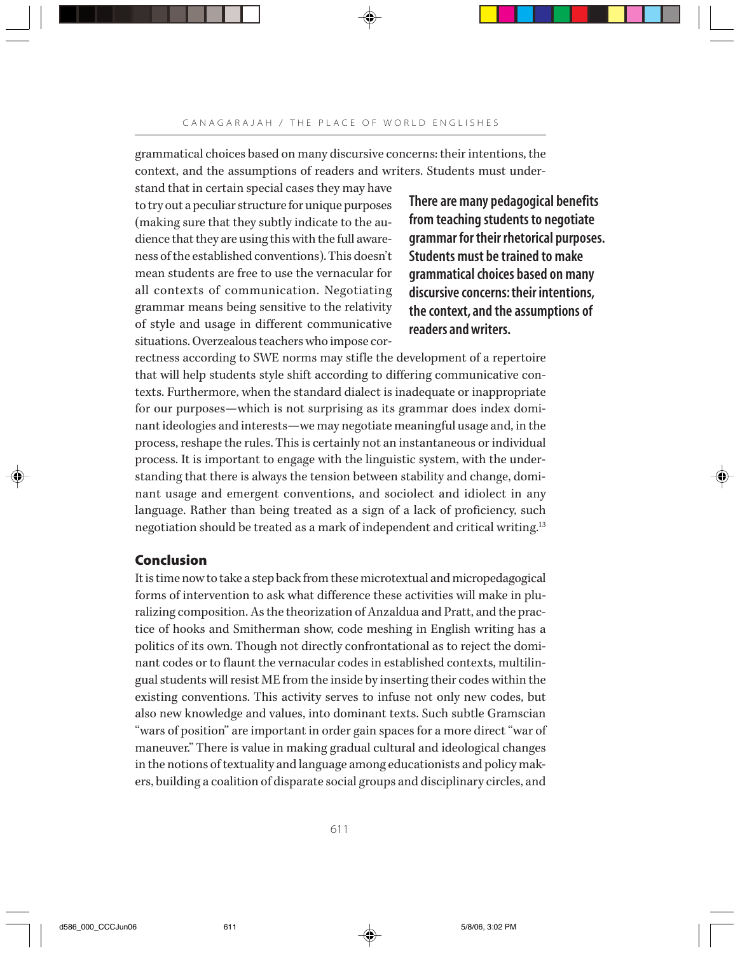grammatical choices based on many discursive concerns: their intentions, the context, and the assumptions of readers and writers. Students must under-

stand that in certain special cases they may have to try out a peculiar structure for unique purposes (making sure that they subtly indicate to the audience that they are using this with the full awareness of the established conventions). This doesn't mean students are free to use the vernacular for all contexts of communication. Negotiating grammar means being sensitive to the relativity of style and usage in different communicative situations. Overzealous teachers who impose cor-

**There are many pedagogical benefits from teaching students to negotiate grammar for their rhetorical purposes. Students must be trained to make grammatical choices based on many discursive concerns: their intentions, the context, and the assumptions of readers and writers.**

rectness according to SWE norms may stifle the development of a repertoire that will help students style shift according to differing communicative contexts. Furthermore, when the standard dialect is inadequate or inappropriate for our purposes—which is not surprising as its grammar does index dominant ideologies and interests—we may negotiate meaningful usage and, in the process, reshape the rules. This is certainly not an instantaneous or individual process. It is important to engage with the linguistic system, with the understanding that there is always the tension between stability and change, dominant usage and emergent conventions, and sociolect and idiolect in any language. Rather than being treated as a sign of a lack of proficiency, such negotiation should be treated as a mark of independent and critical writing.13

# **Conclusion**

It is time now to take a step back from these microtextual and micropedagogical forms of intervention to ask what difference these activities will make in pluralizing composition. As the theorization of Anzaldua and Pratt, and the practice of hooks and Smitherman show, code meshing in English writing has a politics of its own. Though not directly confrontational as to reject the dominant codes or to flaunt the vernacular codes in established contexts, multilingual students will resist ME from the inside by inserting their codes within the existing conventions. This activity serves to infuse not only new codes, but also new knowledge and values, into dominant texts. Such subtle Gramscian "wars of position" are important in order gain spaces for a more direct "war of maneuver." There is value in making gradual cultural and ideological changes in the notions of textuality and language among educationists and policy makers, building a coalition of disparate social groups and disciplinary circles, and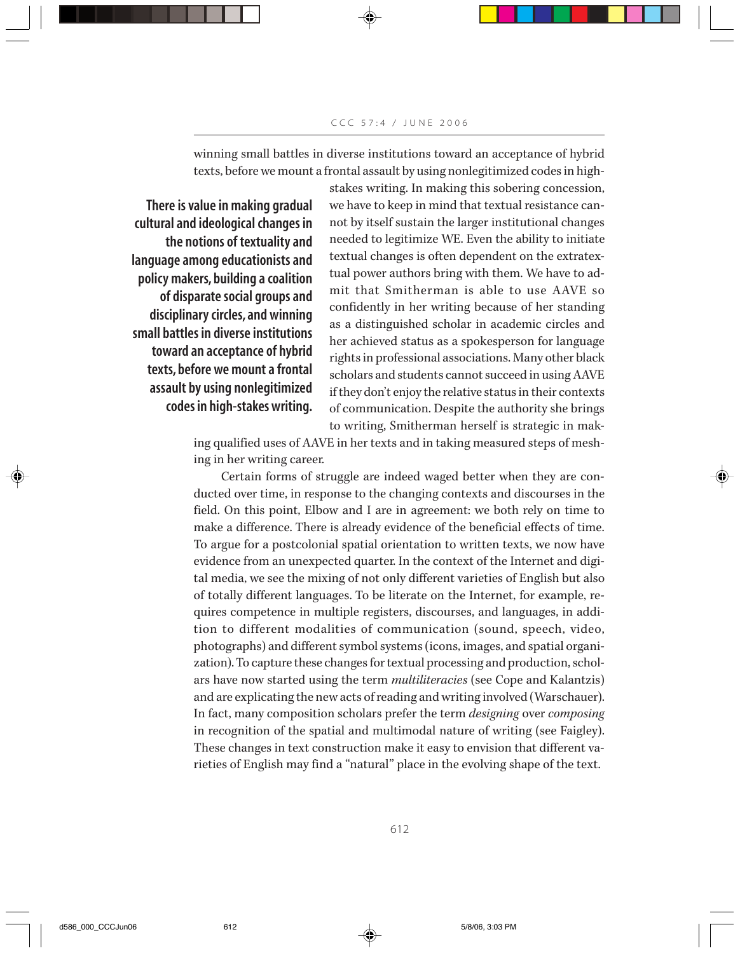winning small battles in diverse institutions toward an acceptance of hybrid texts, before we mount a frontal assault by using nonlegitimized codes in high-

**There is value in making gradual cultural and ideological changes in the notions of textuality and language among educationists and policy makers, building a coalition of disparate social groups and disciplinary circles, and winning small battles in diverse institutions toward an acceptance of hybrid texts, before we mount a frontal assault by using nonlegitimized codes in high-stakes writing.** stakes writing. In making this sobering concession, we have to keep in mind that textual resistance cannot by itself sustain the larger institutional changes needed to legitimize WE. Even the ability to initiate textual changes is often dependent on the extratextual power authors bring with them. We have to admit that Smitherman is able to use AAVE so confidently in her writing because of her standing as a distinguished scholar in academic circles and her achieved status as a spokesperson for language rights in professional associations. Many other black scholars and students cannot succeed in using AAVE if they don't enjoy the relative status in their contexts of communication. Despite the authority she brings to writing, Smitherman herself is strategic in mak-

ing qualified uses of AAVE in her texts and in taking measured steps of meshing in her writing career.

Certain forms of struggle are indeed waged better when they are conducted over time, in response to the changing contexts and discourses in the field. On this point, Elbow and I are in agreement: we both rely on time to make a difference. There is already evidence of the beneficial effects of time. To argue for a postcolonial spatial orientation to written texts, we now have evidence from an unexpected quarter. In the context of the Internet and digital media, we see the mixing of not only different varieties of English but also of totally different languages. To be literate on the Internet, for example, requires competence in multiple registers, discourses, and languages, in addition to different modalities of communication (sound, speech, video, photographs) and different symbol systems (icons, images, and spatial organization). To capture these changes for textual processing and production, scholars have now started using the term *multiliteracies* (see Cope and Kalantzis) and are explicating the new acts of reading and writing involved (Warschauer). In fact, many composition scholars prefer the term *designing* over *composing* in recognition of the spatial and multimodal nature of writing (see Faigley). These changes in text construction make it easy to envision that different varieties of English may find a "natural" place in the evolving shape of the text.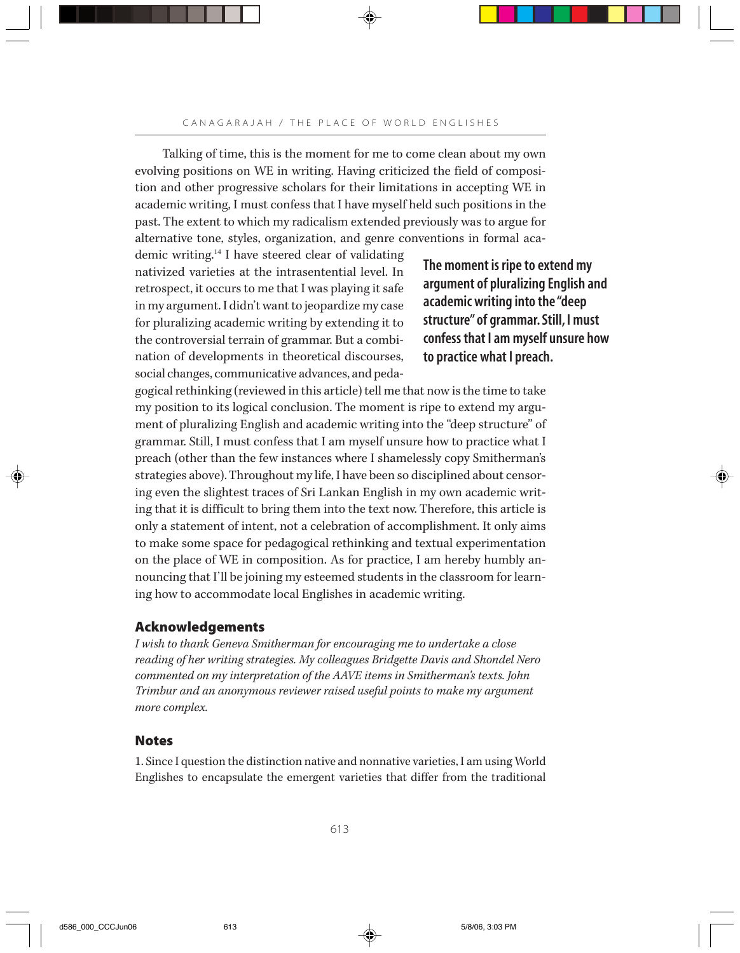Talking of time, this is the moment for me to come clean about my own evolving positions on WE in writing. Having criticized the field of composition and other progressive scholars for their limitations in accepting WE in academic writing, I must confess that I have myself held such positions in the past. The extent to which my radicalism extended previously was to argue for alternative tone, styles, organization, and genre conventions in formal aca-

demic writing.14 I have steered clear of validating nativized varieties at the intrasentential level. In retrospect, it occurs to me that I was playing it safe in my argument. I didn't want to jeopardize my case for pluralizing academic writing by extending it to the controversial terrain of grammar. But a combination of developments in theoretical discourses, social changes, communicative advances, and peda-

**The moment is ripe to extend my argument of pluralizing English and academic writing into the "deep structure" of grammar. Still, I must confess that I am myself unsure how to practice what I preach.**

gogical rethinking (reviewed in this article) tell me that now is the time to take my position to its logical conclusion. The moment is ripe to extend my argument of pluralizing English and academic writing into the "deep structure" of grammar. Still, I must confess that I am myself unsure how to practice what I preach (other than the few instances where I shamelessly copy Smitherman's strategies above). Throughout my life, I have been so disciplined about censoring even the slightest traces of Sri Lankan English in my own academic writing that it is difficult to bring them into the text now. Therefore, this article is only a statement of intent, not a celebration of accomplishment. It only aims to make some space for pedagogical rethinking and textual experimentation on the place of WE in composition. As for practice, I am hereby humbly announcing that I'll be joining my esteemed students in the classroom for learning how to accommodate local Englishes in academic writing.

## **Acknowledgements**

*I wish to thank Geneva Smitherman for encouraging me to undertake a close reading of her writing strategies. My colleagues Bridgette Davis and Shondel Nero commented on my interpretation of the AAVE items in Smitherman's texts. John Trimbur and an anonymous reviewer raised useful points to make my argument more complex.*

# **Notes**

1. Since I question the distinction native and nonnative varieties, I am using World Englishes to encapsulate the emergent varieties that differ from the traditional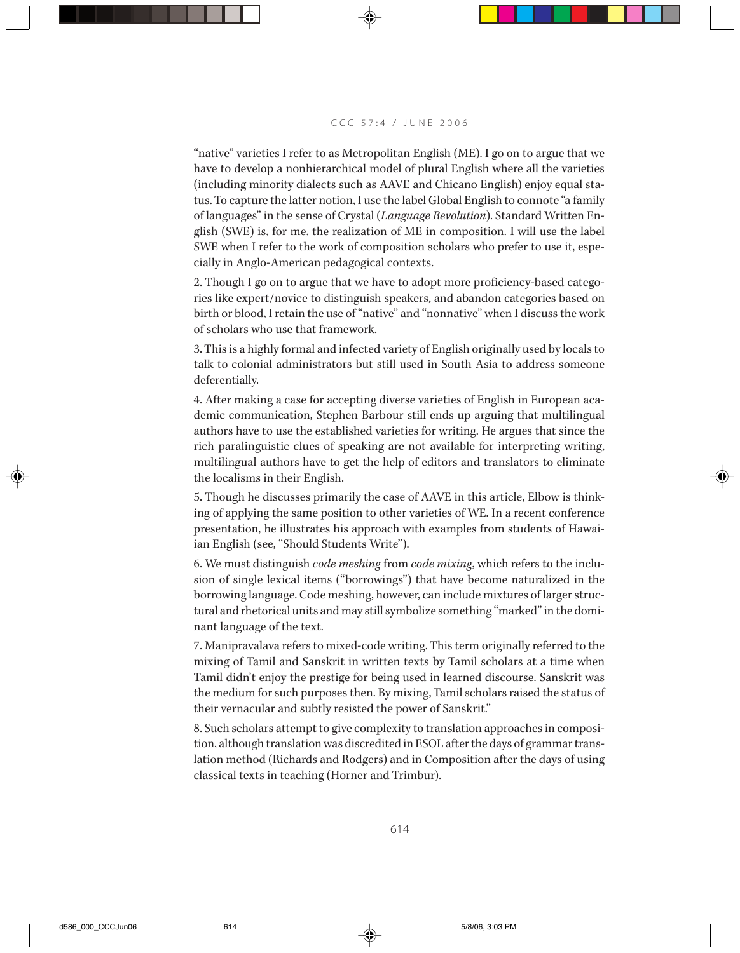"native" varieties I refer to as Metropolitan English (ME). I go on to argue that we have to develop a nonhierarchical model of plural English where all the varieties (including minority dialects such as AAVE and Chicano English) enjoy equal status. To capture the latter notion, I use the label Global English to connote "a family of languages" in the sense of Crystal (*Language Revolution*). Standard Written English (SWE) is, for me, the realization of ME in composition. I will use the label SWE when I refer to the work of composition scholars who prefer to use it, especially in Anglo-American pedagogical contexts.

2. Though I go on to argue that we have to adopt more proficiency-based categories like expert/novice to distinguish speakers, and abandon categories based on birth or blood, I retain the use of "native" and "nonnative" when I discuss the work of scholars who use that framework.

3. This is a highly formal and infected variety of English originally used by locals to talk to colonial administrators but still used in South Asia to address someone deferentially.

4. After making a case for accepting diverse varieties of English in European academic communication, Stephen Barbour still ends up arguing that multilingual authors have to use the established varieties for writing. He argues that since the rich paralinguistic clues of speaking are not available for interpreting writing, multilingual authors have to get the help of editors and translators to eliminate the localisms in their English.

5. Though he discusses primarily the case of AAVE in this article, Elbow is thinking of applying the same position to other varieties of WE. In a recent conference presentation, he illustrates his approach with examples from students of Hawaiian English (see, "Should Students Write").

6. We must distinguish *code meshing* from *code mixing*, which refers to the inclusion of single lexical items ("borrowings") that have become naturalized in the borrowing language. Code meshing, however, can include mixtures of larger structural and rhetorical units and may still symbolize something "marked" in the dominant language of the text.

7. Manipravalava refers to mixed-code writing. This term originally referred to the mixing of Tamil and Sanskrit in written texts by Tamil scholars at a time when Tamil didn't enjoy the prestige for being used in learned discourse. Sanskrit was the medium for such purposes then. By mixing, Tamil scholars raised the status of their vernacular and subtly resisted the power of Sanskrit."

8. Such scholars attempt to give complexity to translation approaches in composition, although translation was discredited in ESOL after the days of grammar translation method (Richards and Rodgers) and in Composition after the days of using classical texts in teaching (Horner and Trimbur).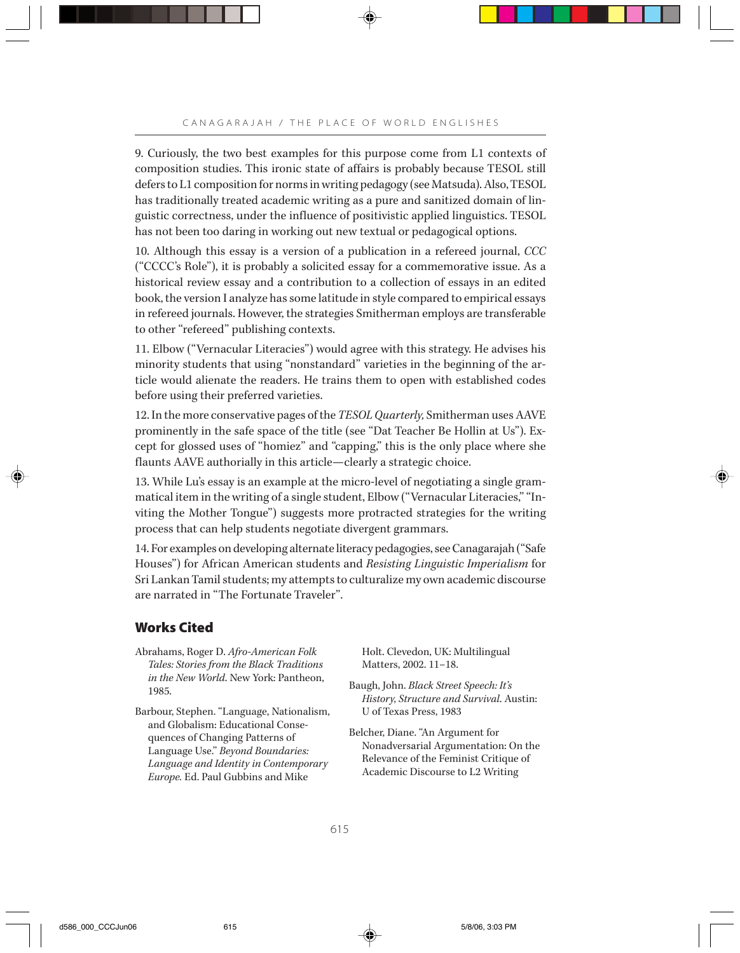9. Curiously, the two best examples for this purpose come from L1 contexts of composition studies. This ironic state of affairs is probably because TESOL still defers to L1 composition for norms in writing pedagogy (see Matsuda). Also, TESOL has traditionally treated academic writing as a pure and sanitized domain of linguistic correctness, under the influence of positivistic applied linguistics. TESOL has not been too daring in working out new textual or pedagogical options.

10. Although this essay is a version of a publication in a refereed journal, *CCC* ("CCCC's Role"), it is probably a solicited essay for a commemorative issue. As a historical review essay and a contribution to a collection of essays in an edited book, the version I analyze has some latitude in style compared to empirical essays in refereed journals. However, the strategies Smitherman employs are transferable to other "refereed" publishing contexts.

11. Elbow ("Vernacular Literacies") would agree with this strategy. He advises his minority students that using "nonstandard" varieties in the beginning of the article would alienate the readers. He trains them to open with established codes before using their preferred varieties.

12. In the more conservative pages of the *TESOL Quarterly,* Smitherman uses AAVE prominently in the safe space of the title (see "Dat Teacher Be Hollin at Us"). Except for glossed uses of "homiez" and "capping," this is the only place where she flaunts AAVE authorially in this article—clearly a strategic choice.

13. While Lu's essay is an example at the micro-level of negotiating a single grammatical item in the writing of a single student, Elbow ("Vernacular Literacies," "Inviting the Mother Tongue") suggests more protracted strategies for the writing process that can help students negotiate divergent grammars.

14. For examples on developing alternate literacy pedagogies, see Canagarajah ("Safe Houses") for African American students and *Resisting Linguistic Imperialism* for Sri Lankan Tamil students; my attempts to culturalize my own academic discourse are narrated in "The Fortunate Traveler".

# **Works Cited**

- Abrahams, Roger D. *Afro-American Folk Tales: Stories from the Black Traditions in the New World*. New York: Pantheon, 1985.
- Barbour, Stephen. "Language, Nationalism, and Globalism: Educational Consequences of Changing Patterns of Language Use." *Beyond Boundaries: Language and Identity in Contemporary Europe.* Ed. Paul Gubbins and Mike

Holt. Clevedon, UK: Multilingual Matters, 2002. 11–18.

Baugh, John. *Black Street Speech: It's History, Structure and Survival*. Austin: U of Texas Press, 1983

Belcher, Diane. "An Argument for Nonadversarial Argumentation: On the Relevance of the Feminist Critique of Academic Discourse to L2 Writing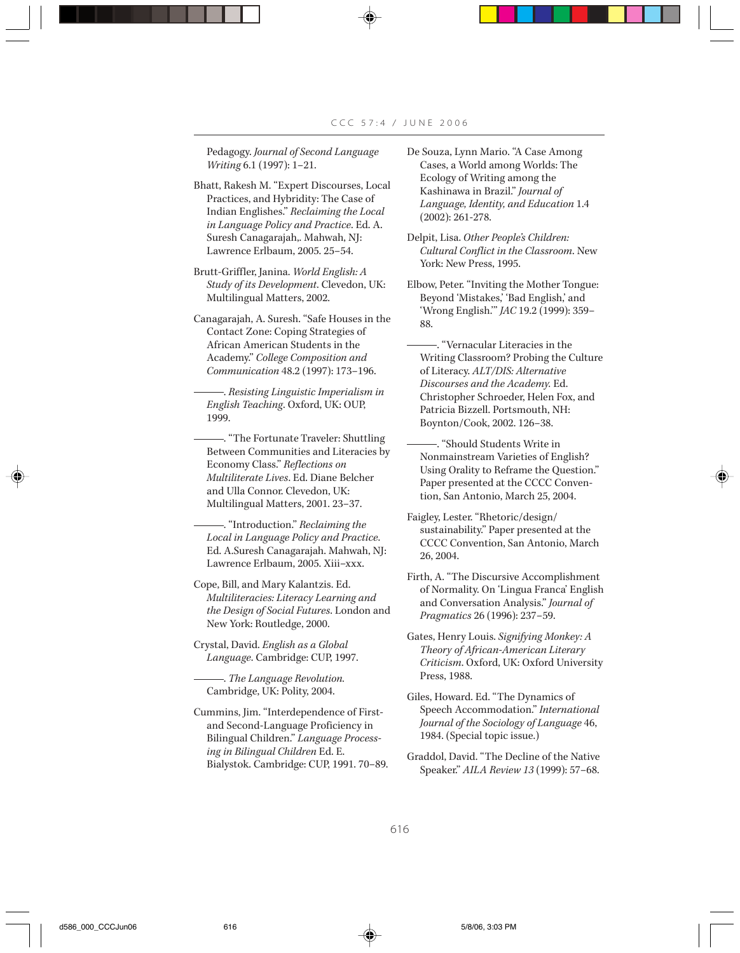Pedagogy. *Journal of Second Language Writing* 6.1 (1997): 1–21.

Bhatt, Rakesh M. "Expert Discourses, Local Practices, and Hybridity: The Case of Indian Englishes." *Reclaiming the Local in Language Policy and Practice*. Ed. A. Suresh Canagarajah,. Mahwah, NJ: Lawrence Erlbaum, 2005. 25–54.

Brutt-Griffler, Janina. *World English: A Study of its Development*. Clevedon, UK: Multilingual Matters, 2002.

Canagarajah, A. Suresh. "Safe Houses in the Contact Zone: Coping Strategies of African American Students in the Academy." *College Composition and Communication* 48.2 (1997): 173–196.

. *Resisting Linguistic Imperialism in English Teaching*. Oxford, UK: OUP, 1999.

. "The Fortunate Traveler: Shuttling Between Communities and Literacies by Economy Class." *Reflections on Multiliterate Lives*. Ed. Diane Belcher and Ulla Connor. Clevedon, UK: Multilingual Matters, 2001. 23–37.

. "Introduction." *Reclaiming the Local in Language Policy and Practice*. Ed. A.Suresh Canagarajah. Mahwah, NJ: Lawrence Erlbaum, 2005. Xiii–xxx.

- Cope, Bill, and Mary Kalantzis. Ed. *Multiliteracies: Literacy Learning and the Design of Social Futures*. London and New York: Routledge, 2000.
- Crystal, David. *English as a Global Language*. Cambridge: CUP, 1997.

. *The Language Revolution.* Cambridge, UK: Polity, 2004.

Cummins, Jim. "Interdependence of Firstand Second-Language Proficiency in Bilingual Children." *Language Processing in Bilingual Children* Ed. E. Bialystok. Cambridge: CUP, 1991. 70–89. De Souza, Lynn Mario. "A Case Among Cases, a World among Worlds: The Ecology of Writing among the Kashinawa in Brazil." *Journal of Language, Identity, and Education* 1.4 (2002): 261-278.

Delpit, Lisa. *Other People's Children: Cultural Conflict in the Classroom*. New York: New Press, 1995.

Elbow, Peter. "Inviting the Mother Tongue: Beyond 'Mistakes,' 'Bad English,' and 'Wrong English.'" *JAC* 19.2 (1999): 359– 88.

. "Vernacular Literacies in the Writing Classroom? Probing the Culture of Literacy. *ALT/DIS: Alternative Discourses and the Academy.* Ed. Christopher Schroeder, Helen Fox, and Patricia Bizzell. Portsmouth, NH: Boynton/Cook, 2002. 126–38.

. "Should Students Write in Nonmainstream Varieties of English? Using Orality to Reframe the Question." Paper presented at the CCCC Convention, San Antonio, March 25, 2004.

- Faigley, Lester. "Rhetoric/design/ sustainability." Paper presented at the CCCC Convention, San Antonio, March 26, 2004.
- Firth, A. "The Discursive Accomplishment of Normality. On 'Lingua Franca' English and Conversation Analysis." *Journal of Pragmatics* 26 (1996): 237–59.
- Gates, Henry Louis. *Signifying Monkey: A Theory of African-American Literary Criticism*. Oxford, UK: Oxford University Press, 1988.
- Giles, Howard. Ed. "The Dynamics of Speech Accommodation." *International Journal of the Sociology of Language* 46, 1984. (Special topic issue.)
- Graddol, David. "The Decline of the Native Speaker." *AILA Review 13* (1999): 57–68.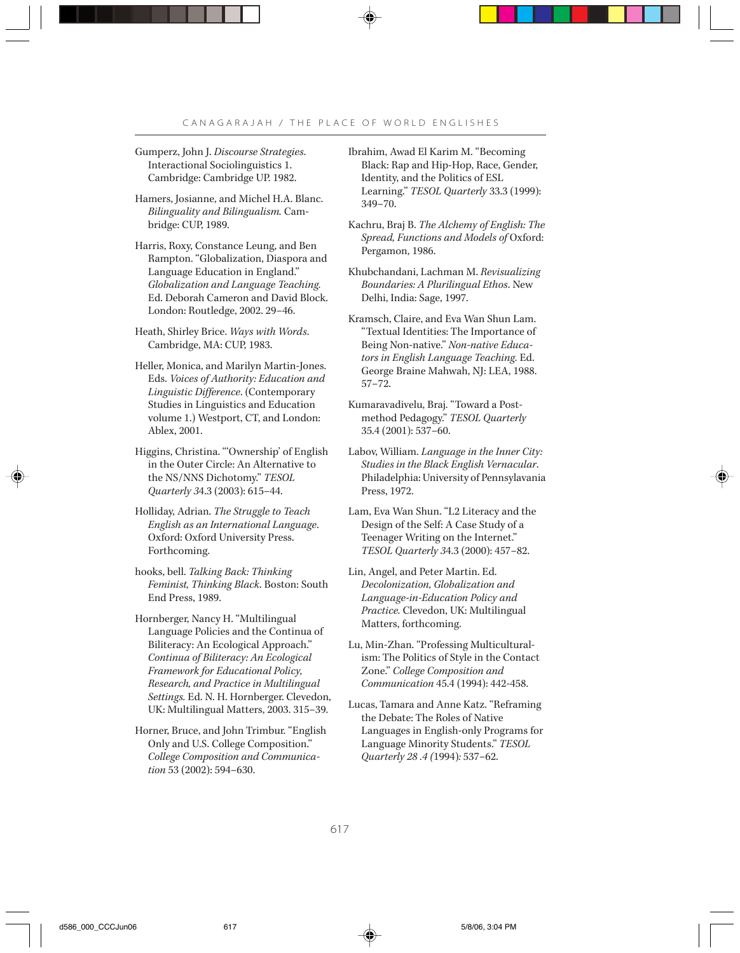- Gumperz, John J. *Discourse Strategies*. Interactional Sociolinguistics 1. Cambridge: Cambridge UP. 1982.
- Hamers, Josianne, and Michel H.A. Blanc. *Bilinguality and Bilingualism.* Cambridge: CUP, 1989.
- Harris, Roxy, Constance Leung, and Ben Rampton. "Globalization, Diaspora and Language Education in England." *Globalization and Language Teaching.* Ed. Deborah Cameron and David Block. London: Routledge, 2002. 29–46.
- Heath, Shirley Brice. *Ways with Words*. Cambridge, MA: CUP, 1983.
- Heller, Monica, and Marilyn Martin-Jones. Eds. *Voices of Authority: Education and Linguistic Difference*. (Contemporary Studies in Linguistics and Education volume 1.) Westport, CT, and London: Ablex, 2001.
- Higgins, Christina. "'Ownership' of English in the Outer Circle: An Alternative to the NS/NNS Dichotomy." *TESOL Quarterly 3*4.3 (2003): 615–44.
- Holliday, Adrian. *The Struggle to Teach English as an International Language*. Oxford: Oxford University Press. Forthcoming.
- hooks, bell. *Talking Back: Thinking Feminist, Thinking Black*. Boston: South End Press, 1989.
- Hornberger, Nancy H. "Multilingual Language Policies and the Continua of Biliteracy: An Ecological Approach." *Continua of Biliteracy: An Ecological Framework for Educational Policy, Research, and Practice in Multilingual Settings.* Ed. N. H. Hornberger. Clevedon, UK: Multilingual Matters, 2003. 315–39.
- Horner, Bruce, and John Trimbur. "English Only and U.S. College Composition." *College Composition and Communication* 53 (2002): 594–630.
- Ibrahim, Awad El Karim M. "Becoming Black: Rap and Hip-Hop, Race, Gender, Identity, and the Politics of ESL Learning." *TESOL Quarterly* 33.3 (1999): 349–70.
- Kachru, Braj B. *The Alchemy of English: The Spread, Functions and Models of* Oxford: Pergamon, 1986.
- Khubchandani, Lachman M. *Revisualizing Boundaries: A Plurilingual Ethos*. New Delhi, India: Sage, 1997.
- Kramsch, Claire, and Eva Wan Shun Lam. "Textual Identities: The Importance of Being Non-native." *Non-native Educators in English Language Teaching.* Ed. George Braine Mahwah, NJ: LEA, 1988. 57–72.
- Kumaravadivelu, Braj. "Toward a Postmethod Pedagogy." *TESOL Quarterly* 35.4 (2001): 537–60.
- Labov, William. *Language in the Inner City: Studies in the Black English Vernacular*. Philadelphia: University of Pennsylavania Press, 1972.
- Lam, Eva Wan Shun. "L2 Literacy and the Design of the Self: A Case Study of a Teenager Writing on the Internet." *TESOL Quarterly 3*4.3 (2000): 457–82.
- Lin, Angel, and Peter Martin. Ed. *Decolonization, Globalization and Language-in-Education Policy and Practice.* Clevedon, UK: Multilingual Matters, forthcoming.
- Lu, Min-Zhan. "Professing Multiculturalism: The Politics of Style in the Contact Zone." *College Composition and Communication* 45.4 (1994): 442-458.
- Lucas, Tamara and Anne Katz. "Reframing the Debate: The Roles of Native Languages in English-only Programs for Language Minority Students." *TESOL Quarterly 28 .4 (*1994)*:* 537–62.
- 617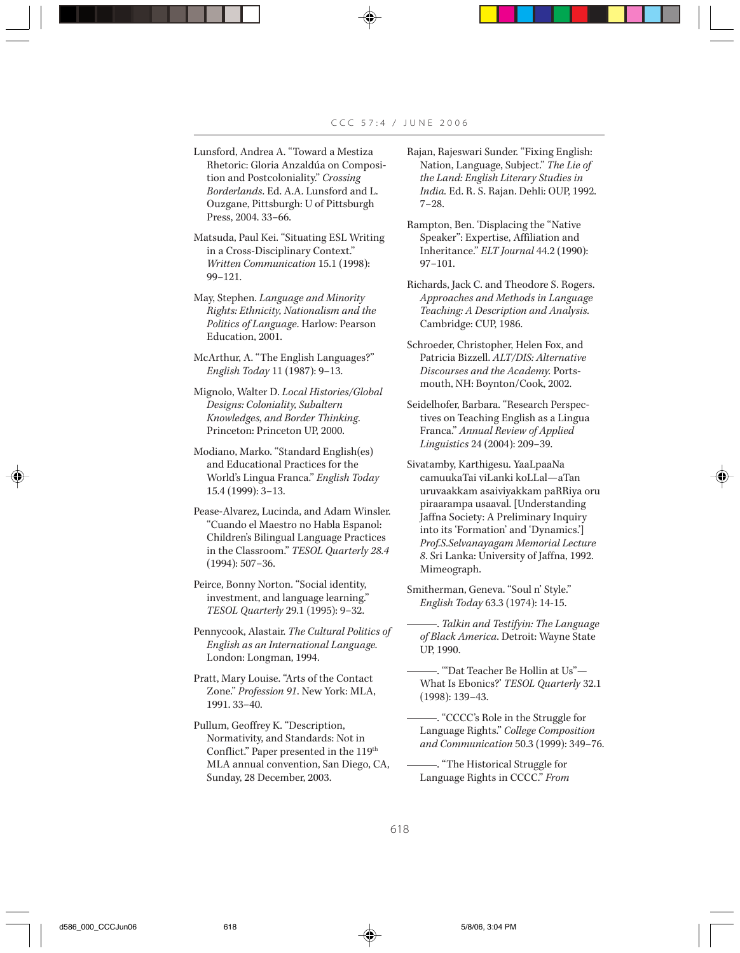- Lunsford, Andrea A. "Toward a Mestiza Rhetoric: Gloria Anzaldúa on Composition and Postcoloniality." *Crossing Borderlands*. Ed. A.A. Lunsford and L. Ouzgane, Pittsburgh: U of Pittsburgh Press, 2004. 33–66.
- Matsuda, Paul Kei. "Situating ESL Writing in a Cross-Disciplinary Context." *Written Communication* 15.1 (1998): 99–121.
- May, Stephen. *Language and Minority Rights: Ethnicity, Nationalism and the Politics of Language*. Harlow: Pearson Education, 2001.
- McArthur, A. "The English Languages?" *English Today* 11 (1987): 9–13.
- Mignolo, Walter D. *Local Histories/Global Designs: Coloniality, Subaltern Knowledges, and Border Thinking*. Princeton: Princeton UP, 2000.
- Modiano, Marko. "Standard English(es) and Educational Practices for the World's Lingua Franca." *English Today* 15.4 (1999): 3–13.
- Pease-Alvarez, Lucinda, and Adam Winsler. "Cuando el Maestro no Habla Espanol: Children's Bilingual Language Practices in the Classroom." *TESOL Quarterly 28.4* (1994): 507–36.
- Peirce, Bonny Norton. "Social identity, investment, and language learning." *TESOL Quarterly* 29.1 (1995): 9–32.
- Pennycook, Alastair. *The Cultural Politics of English as an International Language.* London: Longman, 1994.
- Pratt, Mary Louise. "Arts of the Contact Zone." *Profession 91*. New York: MLA, 1991. 33–40.
- Pullum, Geoffrey K. "Description, Normativity, and Standards: Not in Conflict." Paper presented in the 119<sup>th</sup> MLA annual convention, San Diego, CA, Sunday, 28 December, 2003.
- Rajan, Rajeswari Sunder. "Fixing English: Nation, Language, Subject." *The Lie of the Land: English Literary Studies in India.* Ed. R. S. Rajan. Dehli: OUP, 1992. 7–28.
- Rampton, Ben. 'Displacing the "Native Speaker": Expertise, Affiliation and Inheritance." *ELT Journal* 44.2 (1990): 97–101.
- Richards, Jack C. and Theodore S. Rogers. *Approaches and Methods in Language Teaching: A Description and Analysis.* Cambridge: CUP, 1986.
- Schroeder, Christopher, Helen Fox, and Patricia Bizzell. *ALT/DIS: Alternative Discourses and the Academy.* Portsmouth, NH: Boynton/Cook, 2002.
- Seidelhofer, Barbara. "Research Perspectives on Teaching English as a Lingua Franca." *Annual Review of Applied Linguistics* 24 (2004): 209–39.
- Sivatamby, Karthigesu. YaaLpaaNa camuukaTai viLanki koLLal—aTan uruvaakkam asaiviyakkam paRRiya oru piraarampa usaaval. [Understanding Jaffna Society: A Preliminary Inquiry into its 'Formation' and 'Dynamics.'] *Prof.S.Selvanayagam Memorial Lecture 8*. Sri Lanka: University of Jaffna, 1992. Mimeograph.
- Smitherman, Geneva. "Soul n' Style." *English Today* 63.3 (1974): 14-15.

. *Talkin and Testifyin: The Language of Black America*. Detroit: Wayne State UP, 1990.

. '"Dat Teacher Be Hollin at Us"— What Is Ebonics?' *TESOL Quarterly* 32.1 (1998): 139–43.

. "CCCC's Role in the Struggle for Language Rights." *College Composition and Communication* 50.3 (1999): 349–76.

. "The Historical Struggle for Language Rights in CCCC." *From*